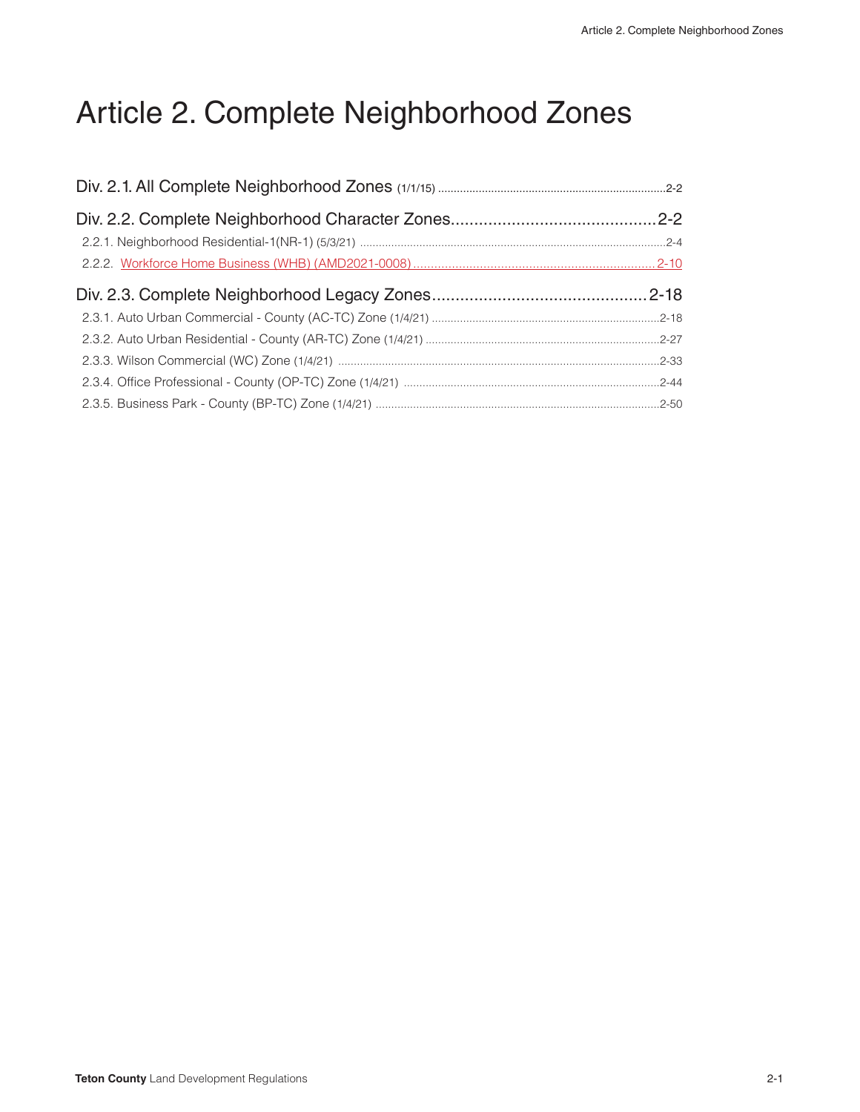# Article 2. Complete Neighborhood Zones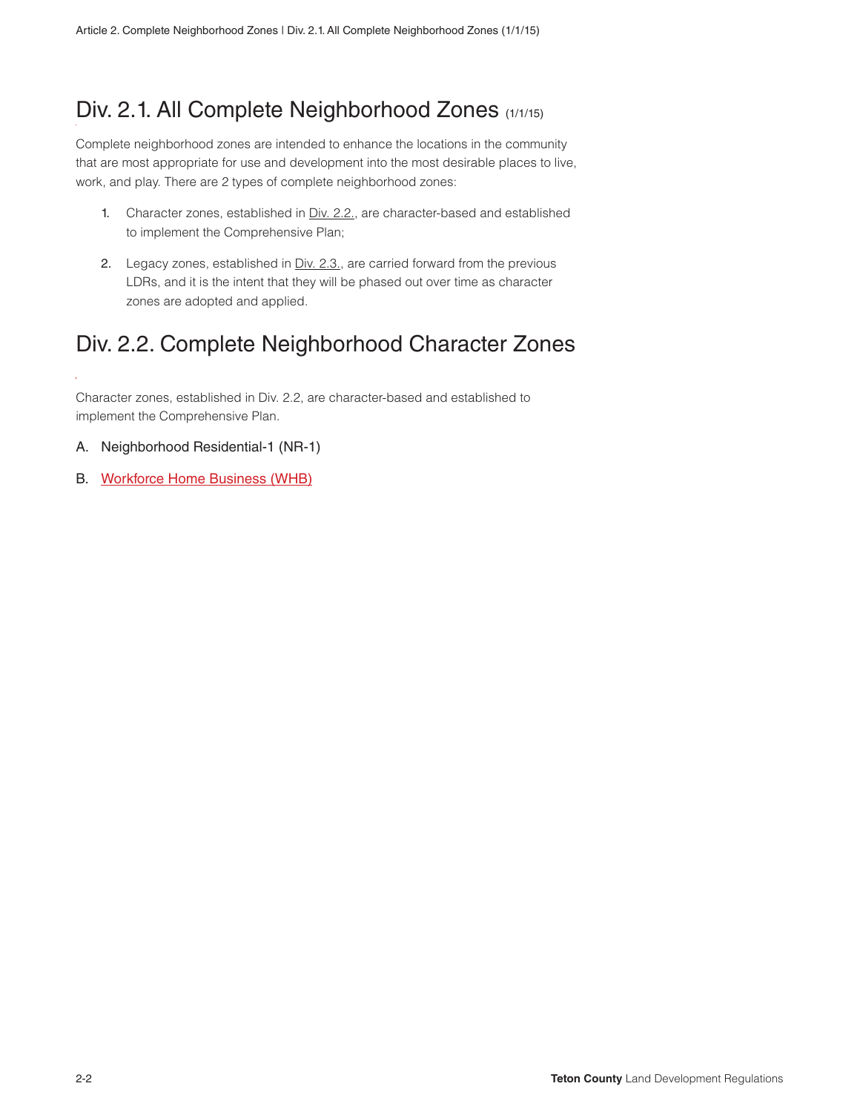## Div. 2.1. All Complete Neighborhood Zones (1/1/15)

Complete neighborhood zones are intended to enhance the locations in the community that are most appropriate for use and development into the most desirable places to live, work, and play. There are 2 types of complete neighborhood zones:

- 1. Character zones, established in Div. 2.2., are character-based and established to implement the Comprehensive Plan;
- 2. Legacy zones, established in Div. 2.3., are carried forward from the previous LDRs, and it is the intent that they will be phased out over time as character zones are adopted and applied.

## Div. 2.2. Complete Neighborhood Character Zones

Character zones, established in Div. 2.2, are character-based and established to implement the Comprehensive Plan.

- A. Neighborhood Residential-1 (NR-1)
- B. Workforce Home Business (WHB)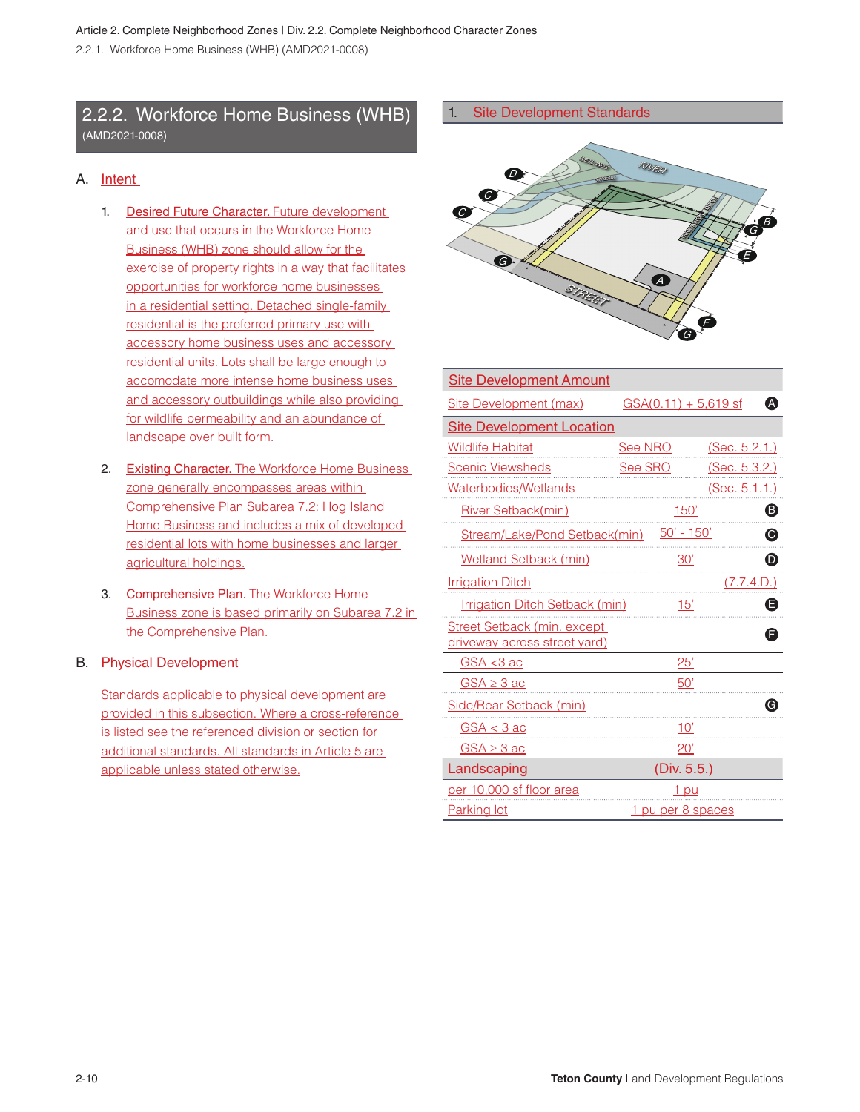## 2.2.2. Workforce Home Business (WHB) (AMD2021-0008)

#### A. Intent

- 1. Desired Future Character. Future development and use that occurs in the Workforce Home Business (WHB) zone should allow for the exercise of property rights in a way that facilitates opportunities for workforce home businesses in a residential setting. Detached single-family residential is the preferred primary use with accessory home business uses and accessory residential units. Lots shall be large enough to accomodate more intense home business uses and accessory outbuildings while also providing for wildlife permeability and an abundance of landscape over built form.
- 2. Existing Character. The Workforce Home Business zone generally encompasses areas within Comprehensive Plan Subarea 7.2: Hog Island Home Business and includes a mix of developed residential lots with home businesses and larger agricultural holdings.
- 3. Comprehensive Plan. The Workforce Home Business zone is based primarily on Subarea 7.2 in the Comprehensive Plan.

#### B. Physical Development

Standards applicable to physical development are provided in this subsection. Where a cross-reference is listed see the referenced division or section for additional standards. All standards in Article 5 are applicable unless stated otherwise.

1. Site Development Standards



| <b>Site Development Amount</b>                                      |                        |                       |
|---------------------------------------------------------------------|------------------------|-----------------------|
| Site Development (max)                                              | $GSA(0.11) + 5,619$ sf | A                     |
| <b>Site Development Location</b>                                    |                        |                       |
| <b>Wildlife Habitat</b>                                             | See NRO                | (Sec. 5.2.1.)         |
| <b>Scenic Viewsheds</b>                                             | See SRO                | (Sec. 5.3.2.)         |
| Waterbodies/Wetlands                                                |                        | (Sec. 5.1.1.)         |
| River Setback(min)                                                  | 150'                   | ❸                     |
| Stream/Lake/Pond Setback(min)                                       | 50' - 150'             | $\boldsymbol{\Theta}$ |
| <b>Wetland Setback (min)</b>                                        | 30'                    | $\boldsymbol{\Theta}$ |
| <b>Irrigation Ditch</b>                                             |                        | (7.7.4.D.)            |
| Irrigation Ditch Setback (min)                                      | 15'                    | Θ                     |
| <b>Street Setback (min. except)</b><br>driveway across street yard) |                        | Θ                     |
| $GSA < 3$ ac                                                        | 25'                    |                       |
| $GSA \geq 3$ ac                                                     | 50'                    |                       |
| Side/Rear Setback (min)                                             |                        | G)                    |
| $GSA < 3$ ac                                                        | <u>10'</u>             |                       |
| $GSA \geq 3$ ac                                                     | 20'                    |                       |
| Landscaping                                                         | (Div. 5.5.)            |                       |
| per 10,000 sf floor area                                            | <u>1 pu</u>            |                       |
| Parking lot                                                         | 1 pu per 8 spaces      |                       |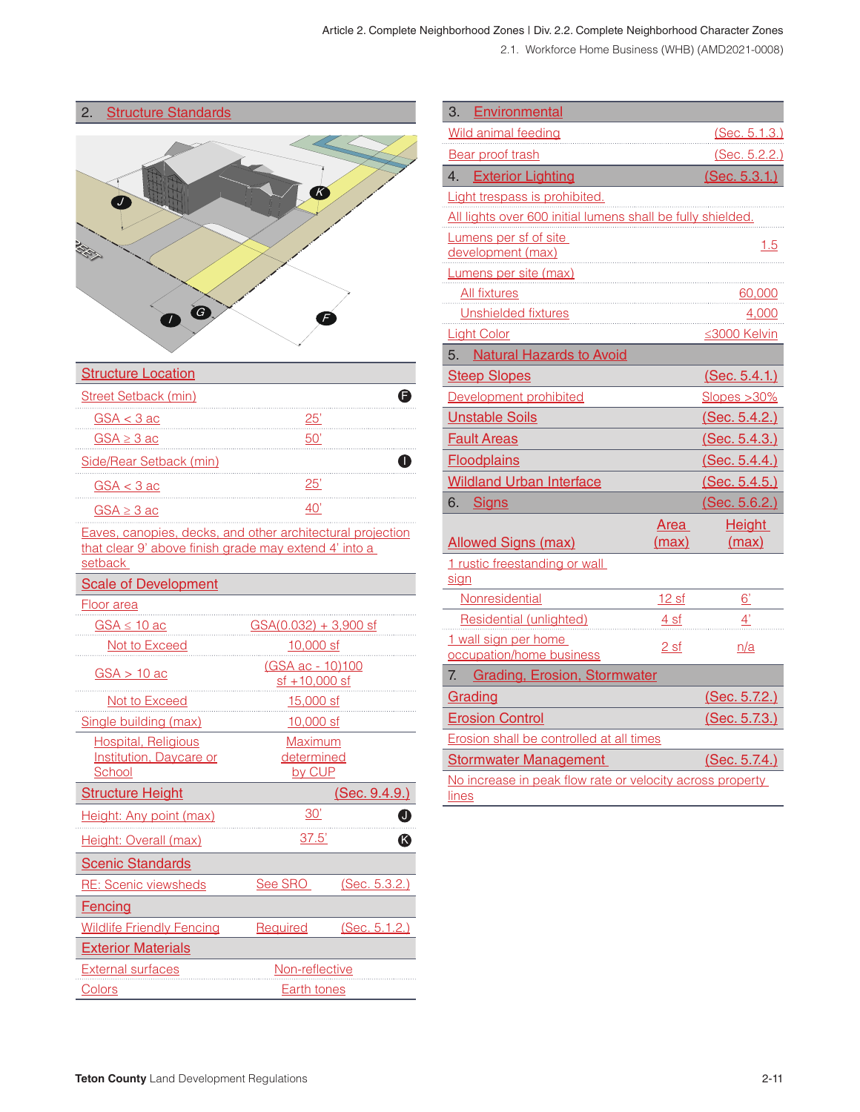#### Article 2. Complete Neighborhood Zones | Div. 2.2. Complete Neighborhood Character Zones

2.1. Workforce Home Business (WHB) (AMD2021-0008)

| 2. | <b>Structure Standards</b> |  |
|----|----------------------------|--|
|    |                            |  |



| <b>Structure Location</b> |     |
|---------------------------|-----|
| Street Setback (min)      |     |
| $GSA < 3$ ac              | 25' |
| $GSA \geq 3$ ac           |     |
| Side/Rear Setback (min)   |     |
| $GSA < 3$ ac              | 25' |
| $GSA \geq 3$ ac           |     |

Eaves, canopies, decks, and other architectural projection that clear 9' above finish grade may extend 4' into a setback

| <b>Scale of Development</b>                                            |                                                 |               |
|------------------------------------------------------------------------|-------------------------------------------------|---------------|
| Floor area                                                             |                                                 |               |
| <u>GSA ≤ 10 ac</u>                                                     | $GSA(0.032) + 3,900$ sf                         |               |
| Not to Exceed                                                          | 10,000 sf                                       |               |
| $GSA > 10$ ac                                                          | <u>(GSA ac - 10)100</u><br><u>sf +10,000 sf</u> |               |
| Not to Exceed                                                          | <u>15,000 sf</u>                                |               |
| Single building (max)                                                  | 10,000 sf                                       |               |
| <b>Hospital, Religious</b><br><b>Institution, Daycare or</b><br>School | Maximum<br>determined<br>by CUP                 |               |
| <b>Structure Height</b>                                                |                                                 | (Sec. 9.4.9.) |
| Height: Any point (max)                                                | 30'                                             | ❶             |
| Height: Overall (max)                                                  | 37.5'                                           | ß             |
| <b>Scenic Standards</b>                                                |                                                 |               |
| <b>RE: Scenic viewsheds</b>                                            | See SRO                                         | (Sec. 5.3.2.) |
| <b>Fencing</b>                                                         |                                                 |               |
| <b>Wildlife Friendly Fencing</b>                                       | Required                                        | (Sec. 5.1.2.) |
| <b>Exterior Materials</b>                                              |                                                 |               |
| <b>External surfaces</b>                                               | Non-reflective                                  |               |
| Colors                                                                 | Earth tones                                     |               |

| 3.<br>Environmental                                                       |                 |                 |
|---------------------------------------------------------------------------|-----------------|-----------------|
| Wild animal feeding                                                       |                 | (Sec. 5.1.3.)   |
| <b>Bear proof trash</b>                                                   |                 | (Sec. 5.2.2.)   |
| <b>Exterior Lighting</b><br>4.                                            |                 | (Sec. 5.3.1.)   |
| Light trespass is prohibited.                                             |                 |                 |
| All lights over 600 initial lumens shall be fully shielded.               |                 |                 |
| Lumens per sf of site                                                     |                 | 1.5             |
| development (max)                                                         |                 |                 |
| Lumens per site (max)                                                     |                 |                 |
| <b>All fixtures</b>                                                       |                 | 60,000          |
| Unshielded fixtures                                                       |                 | 4,000           |
| <b>Light Color</b>                                                        |                 | ≤3000 Kelvin    |
| <b>Natural Hazards to Avoid</b><br>5.                                     |                 |                 |
| <b>Steep Slopes</b>                                                       |                 | (Sec. 5.4.1.)   |
| Development prohibited                                                    |                 | Slopes > 30%    |
| <b>Unstable Soils</b>                                                     |                 | (Sec. 5.4.2.)   |
| <b>Fault Areas</b>                                                        |                 | (Sec. 5.4.3.)   |
| <b>Floodplains</b>                                                        |                 | (Sec. 5.4.4.)   |
| <b>Wildland Urban Interface</b>                                           |                 | (Sec. 5.4.5.)   |
| 6.<br><b>Signs</b>                                                        |                 | (Sec. 5.6.2.)   |
|                                                                           | <b>Area</b>     | <b>Height</b>   |
| <b>Allowed Signs (max)</b>                                                | (max)           | (max)           |
| 1 rustic freestanding or wall<br>sign                                     |                 |                 |
| Nonresidential                                                            | 12 sf           | $\underline{6}$ |
| Residential (unlighted)                                                   | 4 <sub>sf</sub> | 4'              |
| 1 wall sign per home                                                      | 2 <sub>sf</sub> | n/a             |
| occupation/home business                                                  |                 |                 |
| <b>Grading, Erosion, Stormwater</b><br>7.                                 |                 |                 |
| Grading                                                                   |                 | (Sec. 5.7.2.)   |
| <b>Erosion Control</b>                                                    |                 | (Sec. 5.7.3.)   |
| Erosion shall be controlled at all times                                  |                 |                 |
| <b>Stormwater Management</b>                                              |                 | (Sec. 5.7.4.)   |
| No increase in peak flow rate or velocity across property<br><u>lines</u> |                 |                 |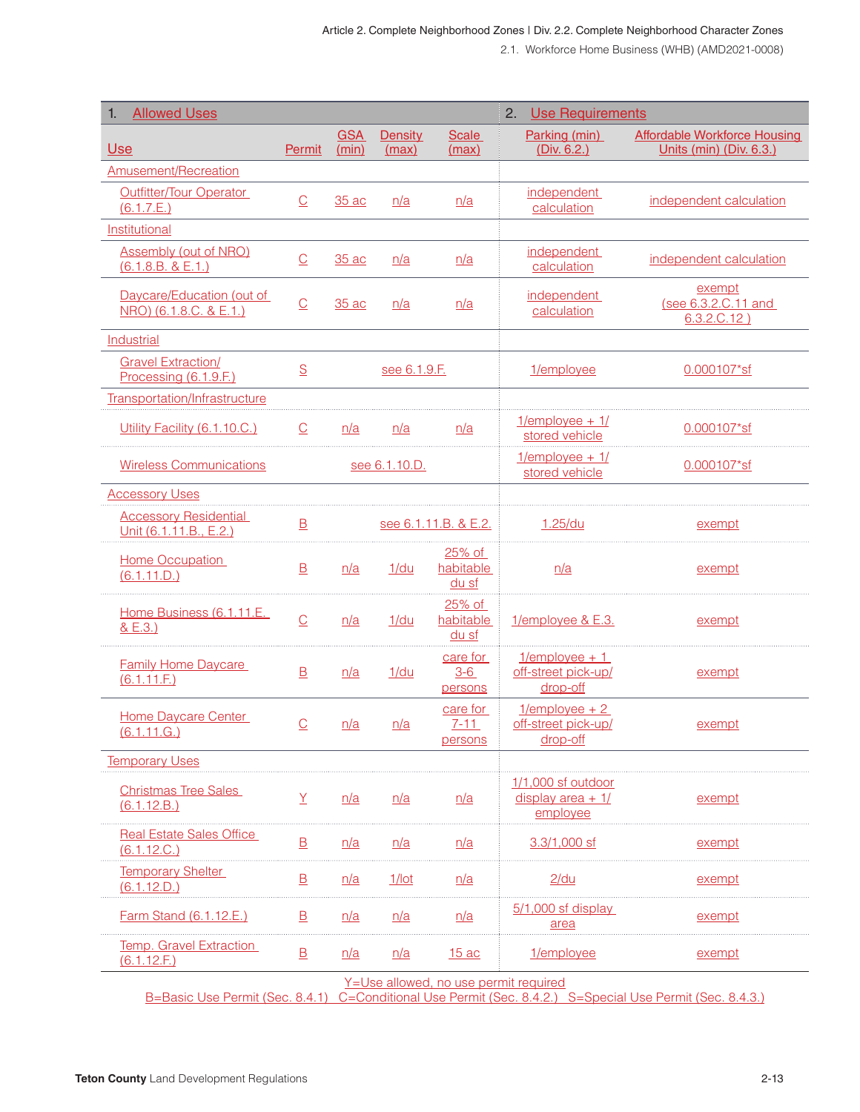| <b>Allowed Uses</b><br>$\mathbf{1}$ .                                                                                                                 |                          |                     |                         |                                 | 2.<br><b>Use Requirements</b>                           |                                                                |
|-------------------------------------------------------------------------------------------------------------------------------------------------------|--------------------------|---------------------|-------------------------|---------------------------------|---------------------------------------------------------|----------------------------------------------------------------|
| Use                                                                                                                                                   | Permit                   | <b>GSA</b><br>(min) | <b>Density</b><br>(max) | <b>Scale</b><br>(max)           | Parking (min)<br>(Div. 6.2.)                            | <b>Affordable Workforce Housing</b><br>Units (min) (Div. 6.3.) |
| Amusement/Recreation                                                                                                                                  |                          |                     |                         |                                 |                                                         |                                                                |
| Outfitter/Tour Operator<br>(6.1.7.E.)                                                                                                                 | $\overline{\mathbb{C}}$  | 35 ac               | n/a                     | n/a                             | independent<br>calculation                              | independent calculation                                        |
| Institutional                                                                                                                                         |                          |                     |                         |                                 |                                                         |                                                                |
| <b>Assembly (out of NRO)</b><br>(6.1.8.B. & E.1.)                                                                                                     | $\underline{\mathbb{C}}$ | 35 ac               | n/a                     | n/a                             | <i>independent</i><br>calculation                       | independent calculation                                        |
| Daycare/Education (out of<br>NRO) (6.1.8.C. & E.1.)                                                                                                   | $\underline{\mathbb{C}}$ | 35 ac               | n/a                     | n/a                             | independent<br>calculation                              | exempt<br>(see 6.3.2.C.11 and<br>$6.3.2.C.12$ )                |
| Industrial                                                                                                                                            |                          |                     |                         |                                 |                                                         |                                                                |
| <b>Gravel Extraction/</b><br>Processing (6.1.9.F.)                                                                                                    | $\underline{\mathsf{S}}$ |                     | see 6.1.9.F.            |                                 | 1/employee                                              | 0.000107*sf                                                    |
| Transportation/Infrastructure                                                                                                                         |                          |                     |                         |                                 |                                                         |                                                                |
| Utility Facility (6.1.10.C.)                                                                                                                          | $\overline{C}$           | n/a                 | n/a                     | n/a                             | $1$ /employee + $1$<br>stored vehicle                   | $0.000107$ *sf                                                 |
| <b>Wireless Communications</b>                                                                                                                        |                          |                     | see 6.1.10.D.           |                                 | $1$ /employee + $1$<br>stored vehicle                   | 0.000107*sf                                                    |
| <b>Accessory Uses</b>                                                                                                                                 |                          |                     |                         |                                 |                                                         |                                                                |
| <b>Accessory Residential</b><br>Unit (6.1.11.B., E.2.)                                                                                                | $\mathbf{B}$             |                     |                         | see 6.1.11.B. & E.2.            | 1.25/du                                                 | exempt                                                         |
| Home Occupation<br>(6.1.11.D.)                                                                                                                        | $\mathbf{B}$             | n/a                 | 1/du                    | 25% of<br>habitable<br>du sf    | n/a                                                     | exempt                                                         |
| Home Business (6.1.11.E.<br>& E.3.)                                                                                                                   | $\overline{\mathsf{C}}$  | n/a                 | 1/du                    | 25% of<br>habitable<br>du sf    | 1/employee & E.3.                                       | exempt                                                         |
| <b>Family Home Daycare</b><br>(6.1.11.E)                                                                                                              | $\mathbf{B}$             | n/a                 | 1/du                    | care for<br>$3 - 6$<br>persons  | $1$ /employee + 1<br>off-street pick-up/<br>drop-off    | exempt                                                         |
| Home Daycare Center<br>(6.1.11.G.)                                                                                                                    | $\overline{C}$           | n/a                 | n/a                     | care for<br>$7 - 11$<br>persons | $1$ /employee + 2<br>off-street pick-up/<br>drop-off    | exempt                                                         |
| <b>Temporary Uses</b>                                                                                                                                 |                          |                     |                         |                                 |                                                         |                                                                |
| <b>Christmas Tree Sales</b><br>(6.1.12.B.)                                                                                                            | Y                        | n/a                 | n/a                     | n/a                             | $1/1,000$ sf outdoor<br>display $area + 1/$<br>employee | <u>exempt</u>                                                  |
| <b>Real Estate Sales Office</b><br>(6.1.12.C.)                                                                                                        | $\overline{B}$           | n/a                 | n/a                     | n/a                             | 3.3/1,000 sf                                            | exempt                                                         |
| <b>Temporary Shelter</b><br>(6.1.12.D.)                                                                                                               | 旦                        | n/a                 | $1/$ lot                | n/a                             | <u>2/du</u>                                             | exemp <sup>.</sup>                                             |
| Farm Stand (6.1.12.E.)                                                                                                                                | $\overline{B}$           | n/a                 | n/a                     | n/a                             | $5/1,000$ sf display<br><u>area</u>                     | <u>exempt</u>                                                  |
| <b>Temp. Gravel Extraction</b><br>(6.1.12.E.)                                                                                                         | $\overline{\mathsf{B}}$  | n/a                 | n/a                     | <u>15 ac</u>                    | 1/employee                                              | <u>exempt</u>                                                  |
| Y=Use allowed, no use permit required<br>C=Conditional Use Permit (Sec. 8.4.2.) S=Special Use Permit (Sec. 8.4.3.)<br>B=Basic Use Permit (Sec. 8.4.1) |                          |                     |                         |                                 |                                                         |                                                                |

**Teton County** Land Development Regulations **2-13 2-13**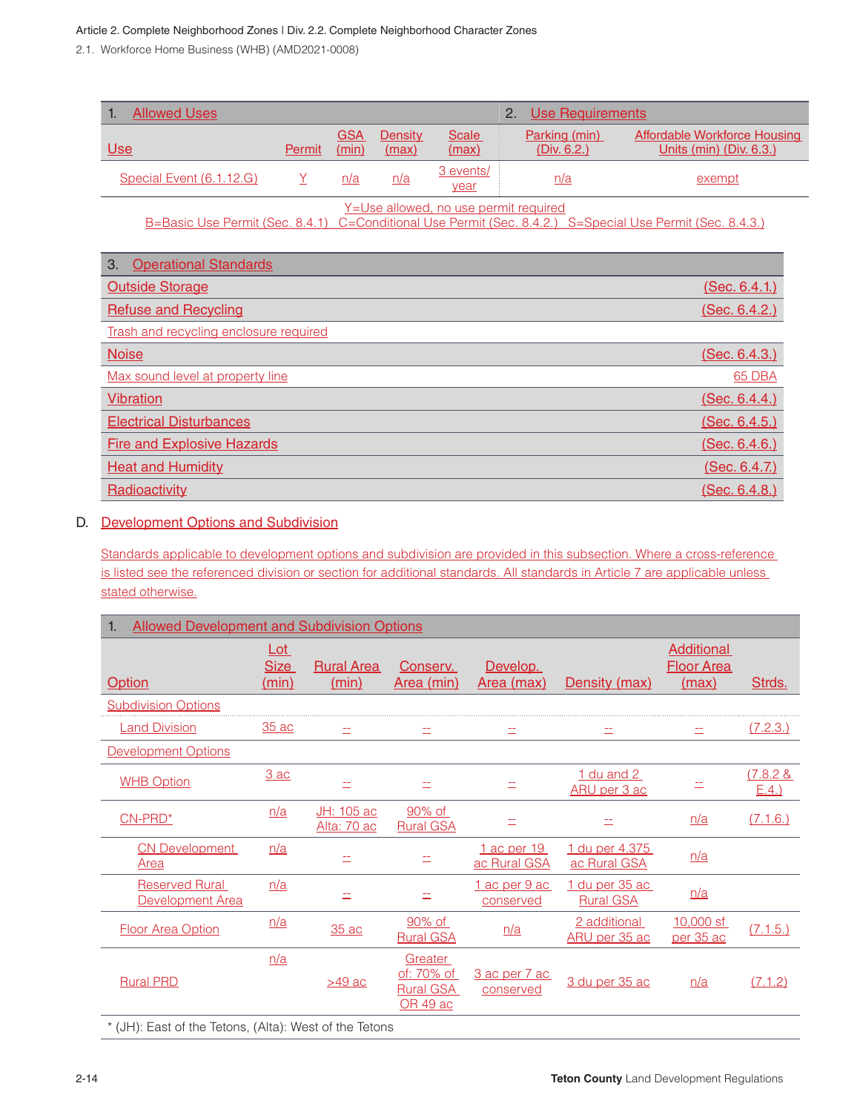#### Article 2. Complete Neighborhood Zones | Div. 2.2. Complete Neighborhood Character Zones

2.2.2. Workforce Home Business (WHB) (AMD2021-0008)

| <b>Allowed Uses</b><br>1.                                                                                                                                 |                 |                     |                         |                   | 2.<br><b>Use Requirements</b>       |                                                                |
|-----------------------------------------------------------------------------------------------------------------------------------------------------------|-----------------|---------------------|-------------------------|-------------------|-------------------------------------|----------------------------------------------------------------|
| U <sub>se</sub>                                                                                                                                           | Permit          | <b>GSA</b><br>(min) | <b>Density</b><br>(max) | Scale<br>(max)    | Parking (min)<br><u>(Div. 6.2.)</u> | <b>Affordable Workforce Housing</b><br>Units (min) (Div. 6.3.) |
| Special Event (6.1.12.G)                                                                                                                                  | $\underline{Y}$ | n/a                 | n/a                     | 3 events/<br>year | n/a                                 | exempt                                                         |
| <u>Y=Use allowed, no use permit required</u><br>B=Basic Use Permit (Sec. 8.4.1) C=Conditional Use Permit (Sec. 8.4.2.) S=Special Use Permit (Sec. 8.4.3.) |                 |                     |                         |                   |                                     |                                                                |
| 3.<br><b>Operational Standards</b>                                                                                                                        |                 |                     |                         |                   |                                     |                                                                |
| <b>Outside Storage</b>                                                                                                                                    |                 |                     |                         |                   |                                     | (Sec. 6.4.1.)                                                  |
| <b>Refuse and Recycling</b>                                                                                                                               |                 |                     |                         |                   |                                     | (Sec. 6.4.2.)                                                  |
| Trash and recycling enclosure required                                                                                                                    |                 |                     |                         |                   |                                     |                                                                |
| <b>Noise</b>                                                                                                                                              |                 |                     |                         |                   |                                     | (Sec. 6.4.3.)                                                  |
| Max sound level at property line                                                                                                                          |                 |                     |                         |                   |                                     | 65 DBA                                                         |
| <b>Vibration</b>                                                                                                                                          |                 |                     |                         |                   |                                     | (Sec. 6.4.4.)                                                  |
| <b>Electrical Disturbances</b>                                                                                                                            |                 |                     |                         |                   |                                     | (Sec. 6.4.5.)                                                  |
| <b>Fire and Explosive Hazards</b>                                                                                                                         |                 |                     |                         |                   |                                     | (Sec. 6.4.6.)                                                  |
| <b>Heat and Humidity</b>                                                                                                                                  |                 |                     |                         |                   |                                     | <u>(Sec. 6.4.7.)</u>                                           |
| Radioactivity                                                                                                                                             |                 |                     |                         |                   |                                     | <u>(Sec. 6.4.8.)</u>                                           |

#### D. Development Options and Subdivision

Standards applicable to development options and subdivision are provided in this subsection. Where a cross-reference is listed see the referenced division or section for additional standards. All standards in Article 7 are applicable unless stated otherwise.

| <b>Allowed Development and Subdivision Options</b><br>1. |                               |                            |                                                              |                             |                                    |                                                 |                         |
|----------------------------------------------------------|-------------------------------|----------------------------|--------------------------------------------------------------|-----------------------------|------------------------------------|-------------------------------------------------|-------------------------|
| <b>Option</b>                                            | $Lot$<br><b>Size</b><br>(min) | <b>Rural Area</b><br>(min) | Conserv.<br>Area (min)                                       | Develop.<br>Area (max)      | Density (max)                      | <b>Additional</b><br><b>Floor Area</b><br>(max) | Strds.                  |
| <b>Subdivision Options</b>                               |                               |                            |                                                              |                             |                                    |                                                 |                         |
| <b>Land Division</b>                                     | 35 ac                         | ÷.                         | 二                                                            | ΞĪ,                         | 二                                  |                                                 | (7.2.3.)                |
| <b>Development Options</b>                               |                               |                            |                                                              |                             |                                    |                                                 |                         |
| <b>WHB Option</b>                                        | 3ac                           | ÷.                         | ÷.                                                           |                             | 1 du and 2<br>ARU per 3 ac         |                                                 | $(7.8.2 \&$<br>$E.4.$ ) |
| CN-PRD*                                                  | n/a                           | JH: 105 ac<br>Alta: 70 ac  | 90% of<br><b>Rural GSA</b>                                   | ÷.                          | 土                                  | n/a                                             | (7.1.6.)                |
| <b>CN Development</b><br>Area                            | n/a                           | ΞĪ,                        | ÷,                                                           | 1 ac per 19<br>ac Rural GSA | 1 du per 4.375<br>ac Rural GSA     | n/a                                             |                         |
| <b>Reserved Rural</b><br>Development Area                | n/a                           | ÷.                         | $\equiv$                                                     | 1 ac per 9 ac<br>conserved  | 1 du per 35 ac<br><b>Rural GSA</b> | n/a                                             |                         |
| <b>Floor Area Option</b>                                 | n/a                           | 35 ac                      | 90% of<br><b>Rural GSA</b>                                   | n/a                         | 2 additional<br>ARU per 35 ac      | 10,000 sf<br>per 35 ac                          | (7.1.5.)                |
| <b>Rural PRD</b>                                         | n/a                           | $>49$ ac                   | Greater<br><u>of:</u> 70% of<br><b>Rural GSA</b><br>OR 49 ac | 3 ac per 7 ac<br>conserved  | 3 du per 35 ac                     | n/a                                             | (7.1.2)                 |
| * (JH): East of the Tetons, (Alta): West of the Tetons   |                               |                            |                                                              |                             |                                    |                                                 |                         |

2-14 **Teton County** Land Development Regulations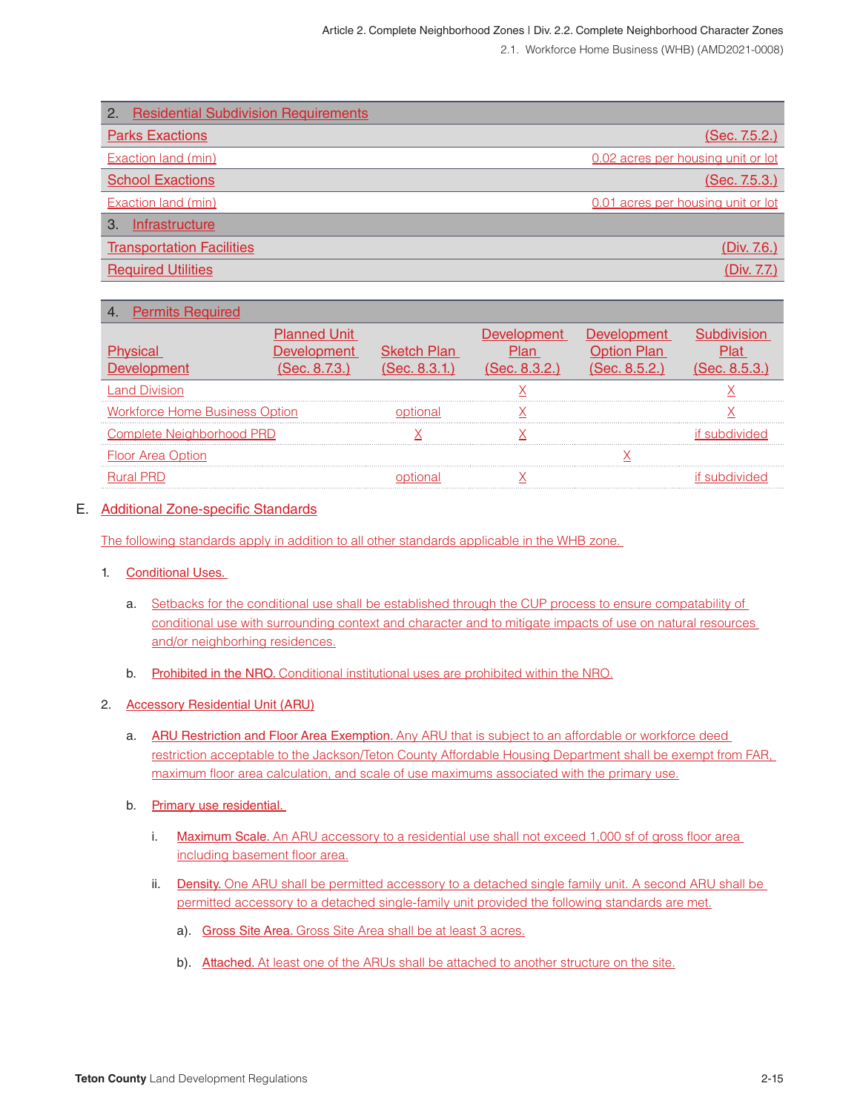| <b>Residential Subdivision Requirements</b><br>2. |                                    |
|---------------------------------------------------|------------------------------------|
| <b>Parks Exactions</b>                            | (Sec. 7.5.2.)                      |
| <b>Exaction land (min)</b>                        | 0.02 acres per housing unit or lot |
| <b>School Exactions</b>                           | (Sec. 7.5.3.)                      |
| Exaction land (min)                               | 0.01 acres per housing unit or lot |
| Infrastructure<br>3                               |                                    |
| <b>Transportation Facilities</b>                  | (Div. 7.6.)                        |
| <b>Required Utilities</b>                         | (Div. 7.7.)                        |
|                                                   |                                    |

#### 4. Permits Required

| torce Home Business Optior. |  |  |  |
|-----------------------------|--|--|--|
|                             |  |  |  |
|                             |  |  |  |
|                             |  |  |  |

#### E. Additional Zone-specific Standards

The following standards apply in addition to all other standards applicable in the WHB zone.

#### 1. Conditional Uses.

- a. Setbacks for the conditional use shall be established through the CUP process to ensure compatability of conditional use with surrounding context and character and to mitigate impacts of use on natural resources and/or neighborhing residences.
- b. Prohibited in the NRO. Conditional institutional uses are prohibited within the NRO.

#### 2. Accessory Residential Unit (ARU)

- a. ARU Restriction and Floor Area Exemption. Any ARU that is subject to an affordable or workforce deed restriction acceptable to the Jackson/Teton County Affordable Housing Department shall be exempt from FAR, maximum floor area calculation, and scale of use maximums associated with the primary use.
- b. Primary use residential.
	- i. Maximum Scale. An ARU accessory to a residential use shall not exceed 1,000 sf of gross floor area including basement floor area.
	- ii. Density. One ARU shall be permitted accessory to a detached single family unit. A second ARU shall be permitted accessory to a detached single-family unit provided the following standards are met.
		- a). Gross Site Area. Gross Site Area shall be at least 3 acres.
		- b). Attached. At least one of the ARUs shall be attached to another structure on the site.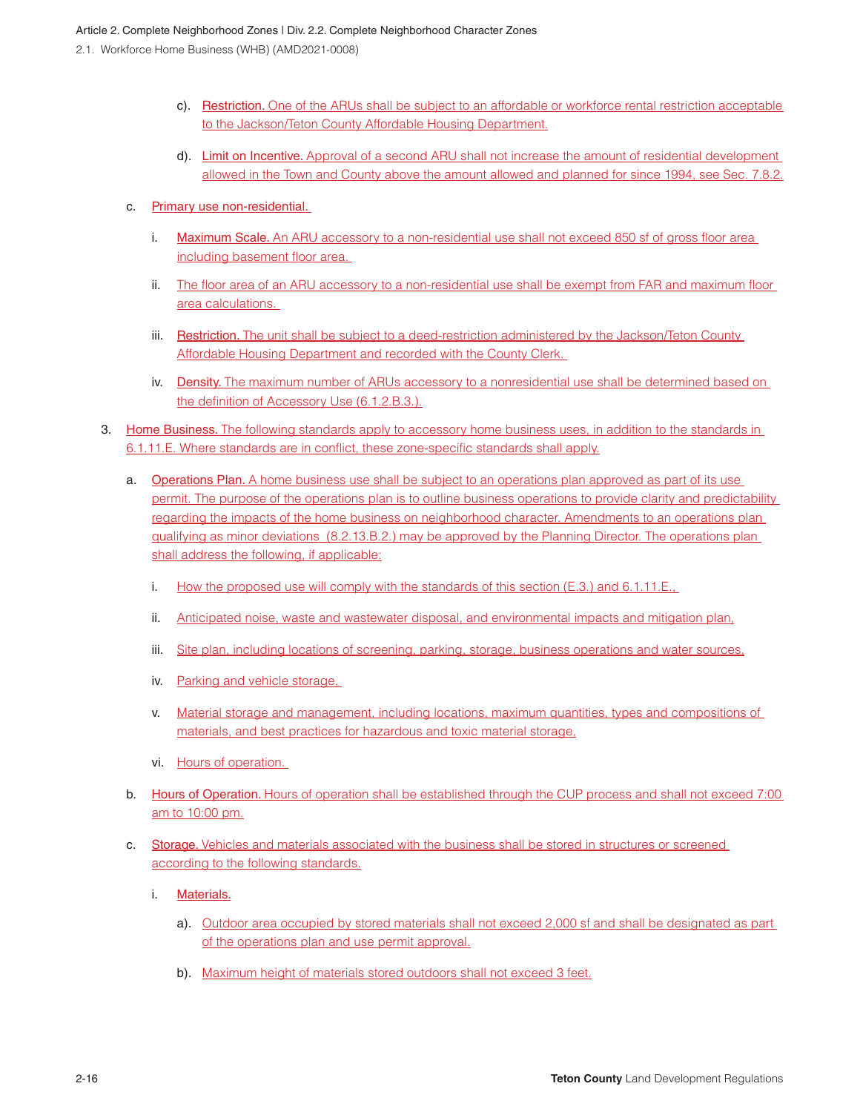- c). Restriction. One of the ARUs shall be subject to an affordable or workforce rental restriction acceptable to the Jackson/Teton County Affordable Housing Department.
- d). Limit on Incentive. Approval of a second ARU shall not increase the amount of residential development allowed in the Town and County above the amount allowed and planned for since 1994, see Sec. 7.8.2.
- c. Primary use non-residential.
	- i. Maximum Scale. An ARU accessory to a non-residential use shall not exceed 850 sf of gross floor area including basement floor area.
	- ii. The floor area of an ARU accessory to a non-residential use shall be exempt from FAR and maximum floor area calculations.
	- iii. Restriction. The unit shall be subject to a deed-restriction administered by the Jackson/Teton County Affordable Housing Department and recorded with the County Clerk.
	- iv. Density. The maximum number of ARUs accessory to a nonresidential use shall be determined based on the definition of Accessory Use (6.1.2.B.3.).
- 3. Home Business. The following standards apply to accessory home business uses, in addition to the standards in 6.1.11.E. Where standards are in conflict, these zone-specific standards shall apply.
	- a. Operations Plan. A home business use shall be subject to an operations plan approved as part of its use permit. The purpose of the operations plan is to outline business operations to provide clarity and predictability regarding the impacts of the home business on neighborhood character. Amendments to an operations plan qualifying as minor deviations (8.2.13.B.2.) may be approved by the Planning Director. The operations plan shall address the following, if applicable:
		- i. How the proposed use will comply with the standards of this section (E.3.) and 6.1.11.E.,
		- ii. Anticipated noise, waste and wastewater disposal, and environmental impacts and mitigation plan,
		- iii. Site plan, including locations of screening, parking, storage, business operations and water sources,
		- iv. Parking and vehicle storage,
		- v. Material storage and management, including locations, maximum quantities, types and compositions of materials, and best practices for hazardous and toxic material storage,
		- vi. Hours of operation.
	- b. Hours of Operation. Hours of operation shall be established through the CUP process and shall not exceed 7:00 am to 10:00 pm.
	- c. Storage. Vehicles and materials associated with the business shall be stored in structures or screened according to the following standards.
		- i. Materials.
			- a). Outdoor area occupied by stored materials shall not exceed 2,000 sf and shall be designated as part of the operations plan and use permit approval.
			- b). Maximum height of materials stored outdoors shall not exceed 3 feet.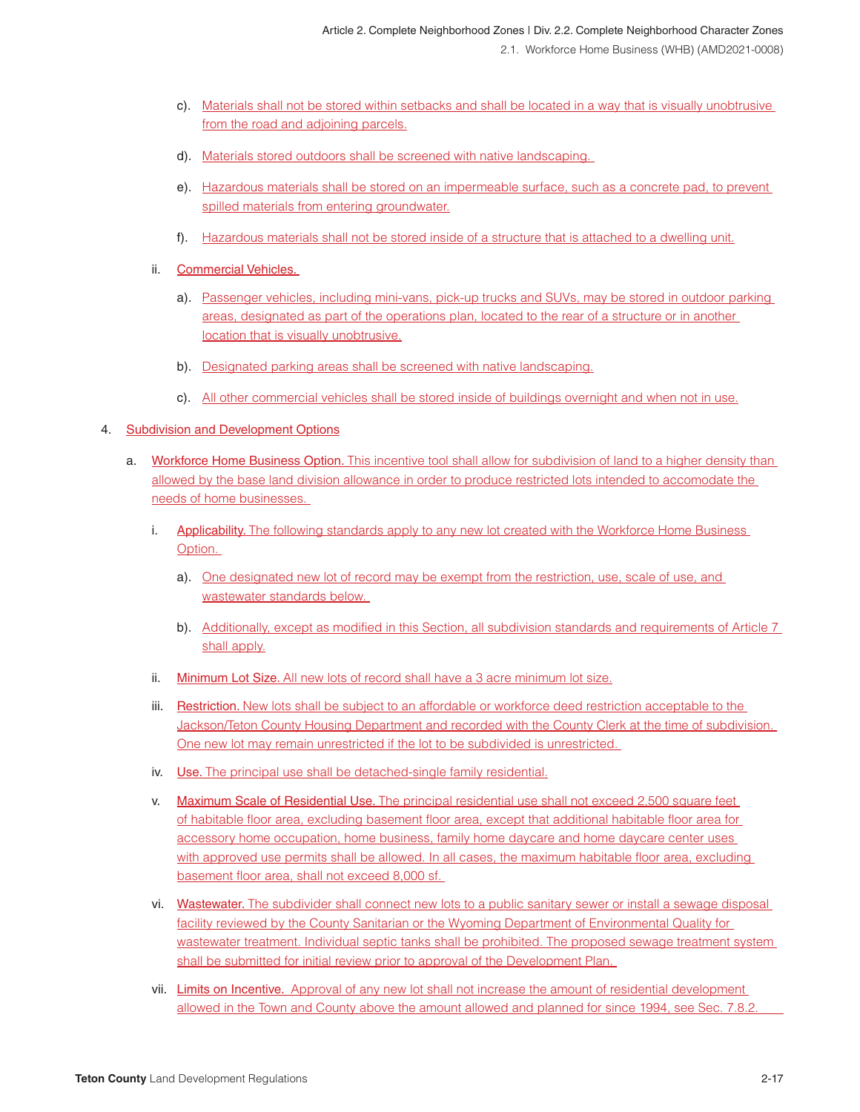- c). Materials shall not be stored within setbacks and shall be located in a way that is visually unobtrusive from the road and adjoining parcels.
- d). Materials stored outdoors shall be screened with native landscaping.
- e). Hazardous materials shall be stored on an impermeable surface, such as a concrete pad, to prevent spilled materials from entering groundwater.
- f). Hazardous materials shall not be stored inside of a structure that is attached to a dwelling unit.
- ii. Commercial Vehicles.
	- a). Passenger vehicles, including mini-vans, pick-up trucks and SUVs, may be stored in outdoor parking areas, designated as part of the operations plan, located to the rear of a structure or in another location that is visually unobtrusive.
	- b). Designated parking areas shall be screened with native landscaping.
	- c). All other commercial vehicles shall be stored inside of buildings overnight and when not in use.

#### 4. Subdivision and Development Options

- a. Workforce Home Business Option. This incentive tool shall allow for subdivision of land to a higher density than allowed by the base land division allowance in order to produce restricted lots intended to accomodate the needs of home businesses.
	- i. Applicability. The following standards apply to any new lot created with the Workforce Home Business Option.
		- a). One designated new lot of record may be exempt from the restriction, use, scale of use, and wastewater standards below.
		- b). Additionally, except as modified in this Section, all subdivision standards and requirements of Article 7 shall apply.
	- ii. Minimum Lot Size. All new lots of record shall have a 3 acre minimum lot size.
	- iii. Restriction. New lots shall be subject to an affordable or workforce deed restriction acceptable to the Jackson/Teton County Housing Department and recorded with the County Clerk at the time of subdivision. One new lot may remain unrestricted if the lot to be subdivided is unrestricted.
	- iv. Use. The principal use shall be detached-single family residential.
	- v. Maximum Scale of Residential Use. The principal residential use shall not exceed 2,500 square feet of habitable floor area, excluding basement floor area, except that additional habitable floor area for accessory home occupation, home business, family home daycare and home daycare center uses with approved use permits shall be allowed. In all cases, the maximum habitable floor area, excluding basement floor area, shall not exceed 8,000 sf.
	- vi. Wastewater. The subdivider shall connect new lots to a public sanitary sewer or install a sewage disposal facility reviewed by the County Sanitarian or the Wyoming Department of Environmental Quality for wastewater treatment. Individual septic tanks shall be prohibited. The proposed sewage treatment system shall be submitted for initial review prior to approval of the Development Plan.
	- vii. Limits on Incentive. Approval of any new lot shall not increase the amount of residential development allowed in the Town and County above the amount allowed and planned for since 1994, see Sec. 7.8.2.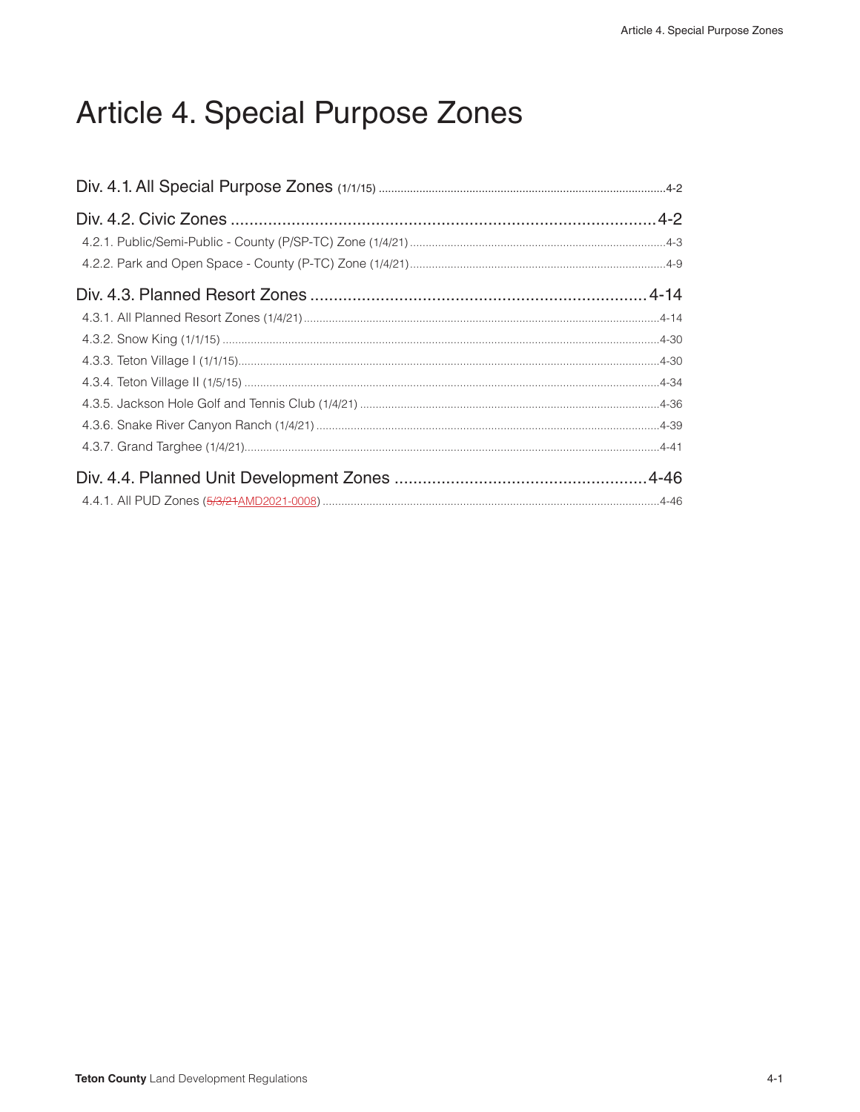# Article 4. Special Purpose Zones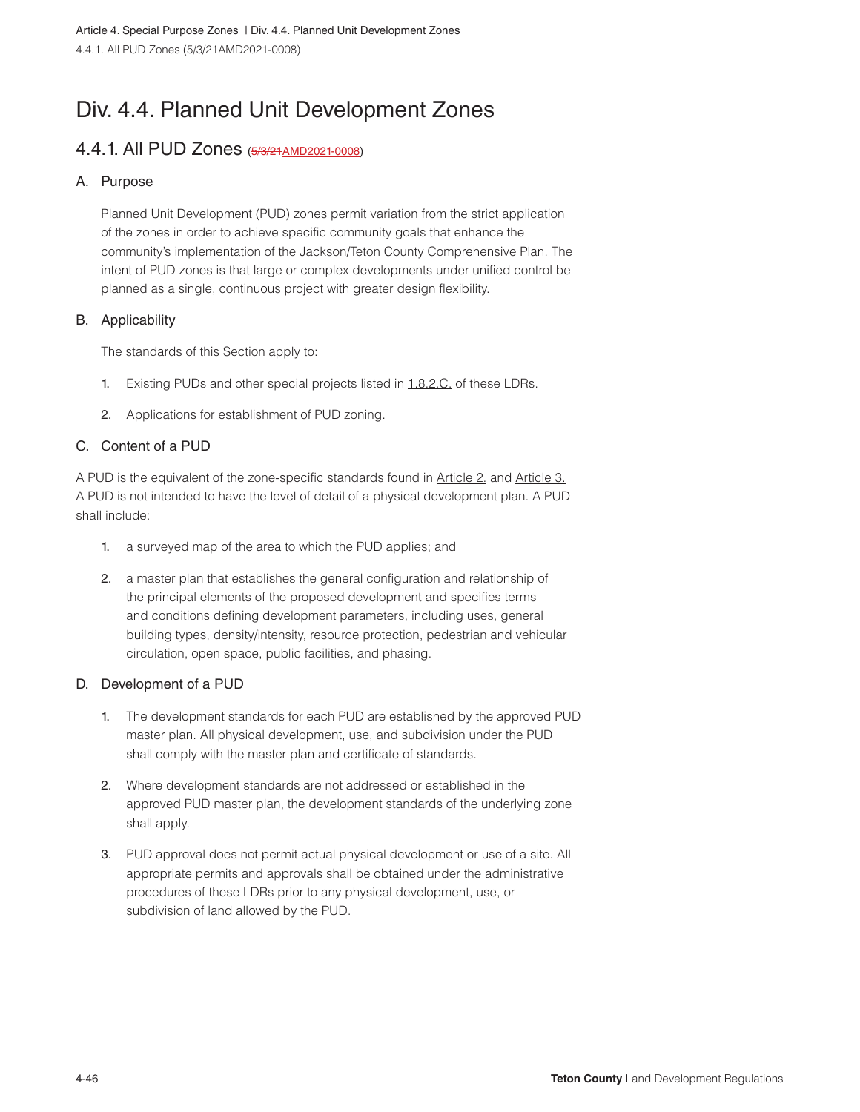# Div. 4.4. Planned Unit Development Zones

## 4.4.1. All PUD Zones (5/3/21AMD2021-0008)

#### A. Purpose

Planned Unit Development (PUD) zones permit variation from the strict application of the zones in order to achieve specific community goals that enhance the community's implementation of the Jackson/Teton County Comprehensive Plan. The intent of PUD zones is that large or complex developments under unified control be planned as a single, continuous project with greater design flexibility.

#### B. Applicability

The standards of this Section apply to:

- 1. Existing PUDs and other special projects listed in 1.8.2.C. of these LDRs.
- 2. Applications for establishment of PUD zoning.

#### C. Content of a PUD

A PUD is the equivalent of the zone-specific standards found in Article 2. and Article 3. A PUD is not intended to have the level of detail of a physical development plan. A PUD shall include:

- 1. a surveyed map of the area to which the PUD applies; and
- 2. a master plan that establishes the general configuration and relationship of the principal elements of the proposed development and specifies terms and conditions defining development parameters, including uses, general building types, density/intensity, resource protection, pedestrian and vehicular circulation, open space, public facilities, and phasing.

#### D. Development of a PUD

- 1. The development standards for each PUD are established by the approved PUD master plan. All physical development, use, and subdivision under the PUD shall comply with the master plan and certificate of standards.
- 2. Where development standards are not addressed or established in the approved PUD master plan, the development standards of the underlying zone shall apply.
- 3. PUD approval does not permit actual physical development or use of a site. All appropriate permits and approvals shall be obtained under the administrative procedures of these LDRs prior to any physical development, use, or subdivision of land allowed by the PUD.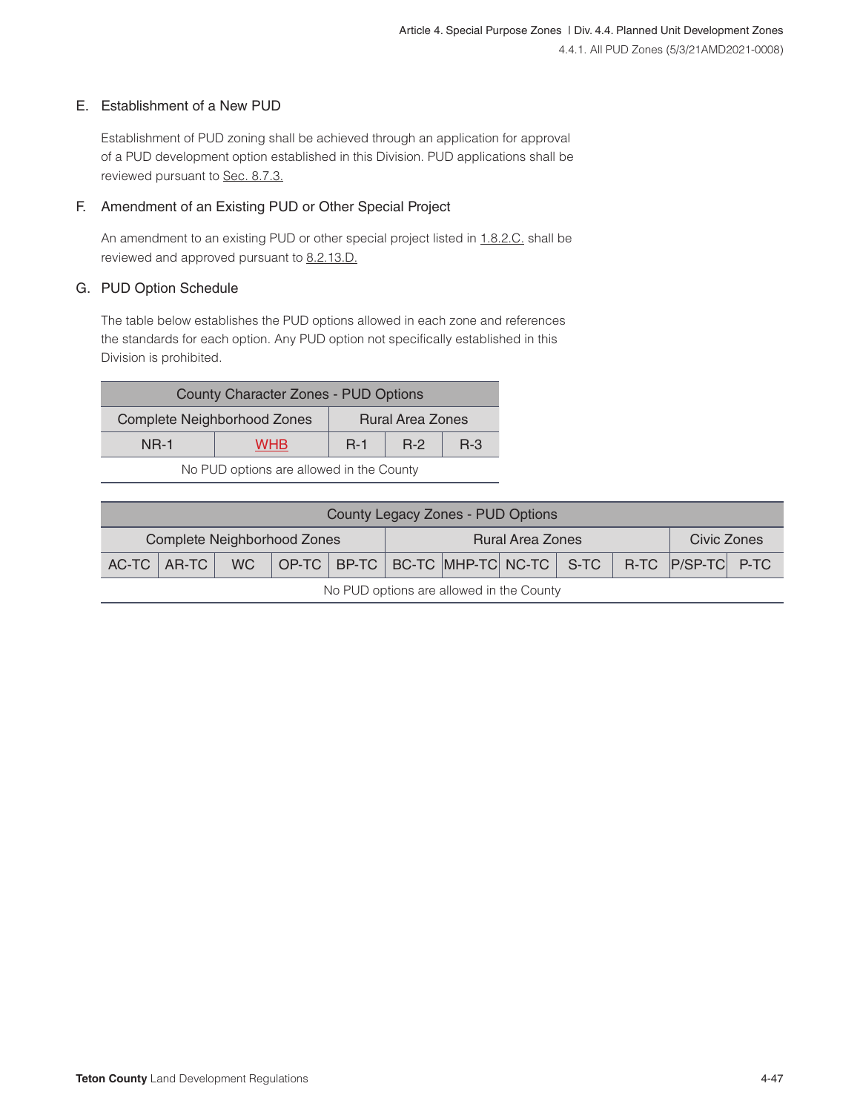#### E. Establishment of a New PUD

Establishment of PUD zoning shall be achieved through an application for approval of a PUD development option established in this Division. PUD applications shall be reviewed pursuant to Sec. 8.7.3.

#### F. Amendment of an Existing PUD or Other Special Project

An amendment to an existing PUD or other special project listed in 1.8.2.C. shall be reviewed and approved pursuant to 8.2.13.D.

#### G. PUD Option Schedule

The table below establishes the PUD options allowed in each zone and references the standards for each option. Any PUD option not specifically established in this Division is prohibited.

| <b>County Character Zones - PUD Options</b> |       |                         |         |  |  |
|---------------------------------------------|-------|-------------------------|---------|--|--|
| Complete Neighborhood Zones                 |       | <b>Rural Area Zones</b> |         |  |  |
| <b>NR-1</b>                                 | $R-1$ | $R-2$                   | $R - 3$ |  |  |
|                                             |       |                         |         |  |  |

No PUD options are allowed in the County

| County Legacy Zones - PUD Options                             |  |  |  |             |  |                                                                                            |  |  |  |  |
|---------------------------------------------------------------|--|--|--|-------------|--|--------------------------------------------------------------------------------------------|--|--|--|--|
| <b>Complete Neighborhood Zones</b><br><b>Rural Area Zones</b> |  |  |  | Civic Zones |  |                                                                                            |  |  |  |  |
|                                                               |  |  |  |             |  | AC-TC   AR-TC   WC   OP-TC   BP-TC   BC-TC   MHP-TC   NC-TC   S-TC   R-TC   P/SP-TC   P-TC |  |  |  |  |
| No PUD options are allowed in the County                      |  |  |  |             |  |                                                                                            |  |  |  |  |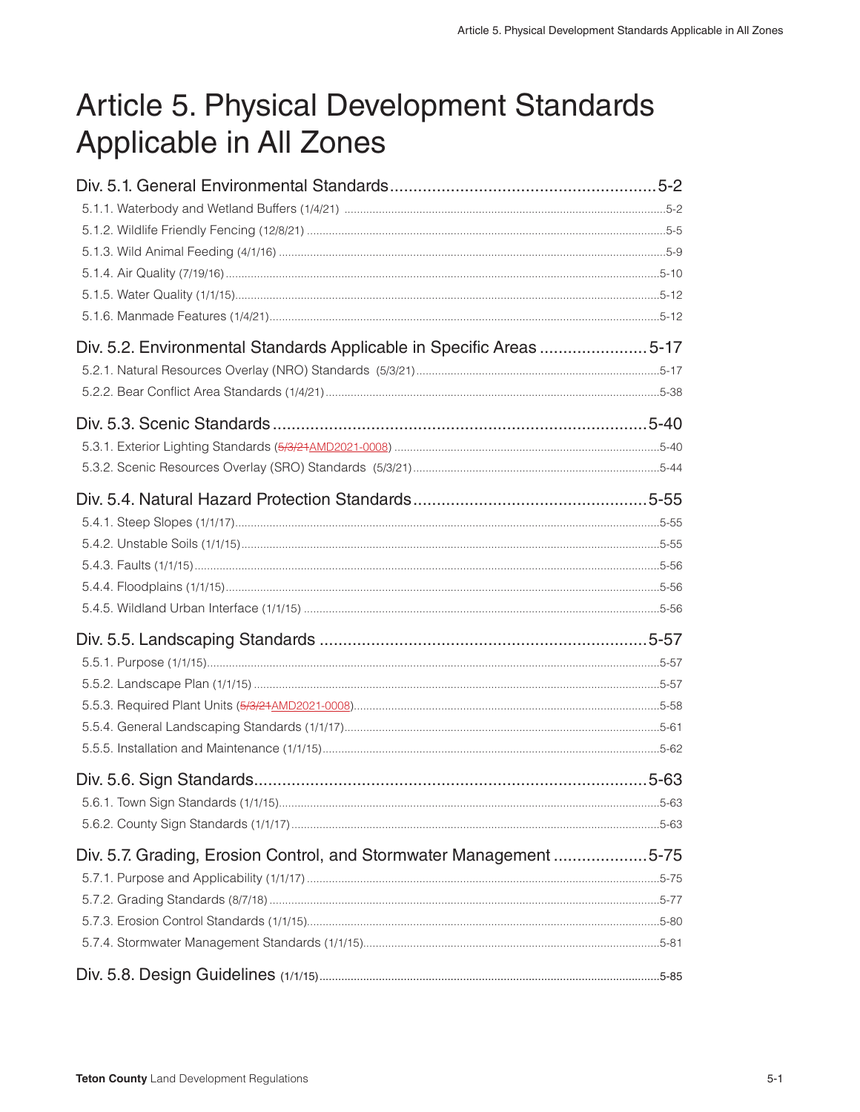# Article 5. Physical Development Standards Applicable in All Zones

| Div. 5.2. Environmental Standards Applicable in Specific Areas 5-17 |      |
|---------------------------------------------------------------------|------|
|                                                                     |      |
|                                                                     |      |
|                                                                     |      |
|                                                                     |      |
|                                                                     |      |
|                                                                     |      |
|                                                                     |      |
|                                                                     |      |
|                                                                     |      |
|                                                                     |      |
|                                                                     |      |
|                                                                     |      |
|                                                                     |      |
|                                                                     |      |
|                                                                     |      |
|                                                                     |      |
|                                                                     |      |
|                                                                     |      |
|                                                                     | 5-63 |
|                                                                     |      |
| Div. 5.7. Grading, Erosion Control, and Stormwater Management 5-75  |      |
|                                                                     |      |
|                                                                     |      |
|                                                                     |      |
|                                                                     |      |
|                                                                     |      |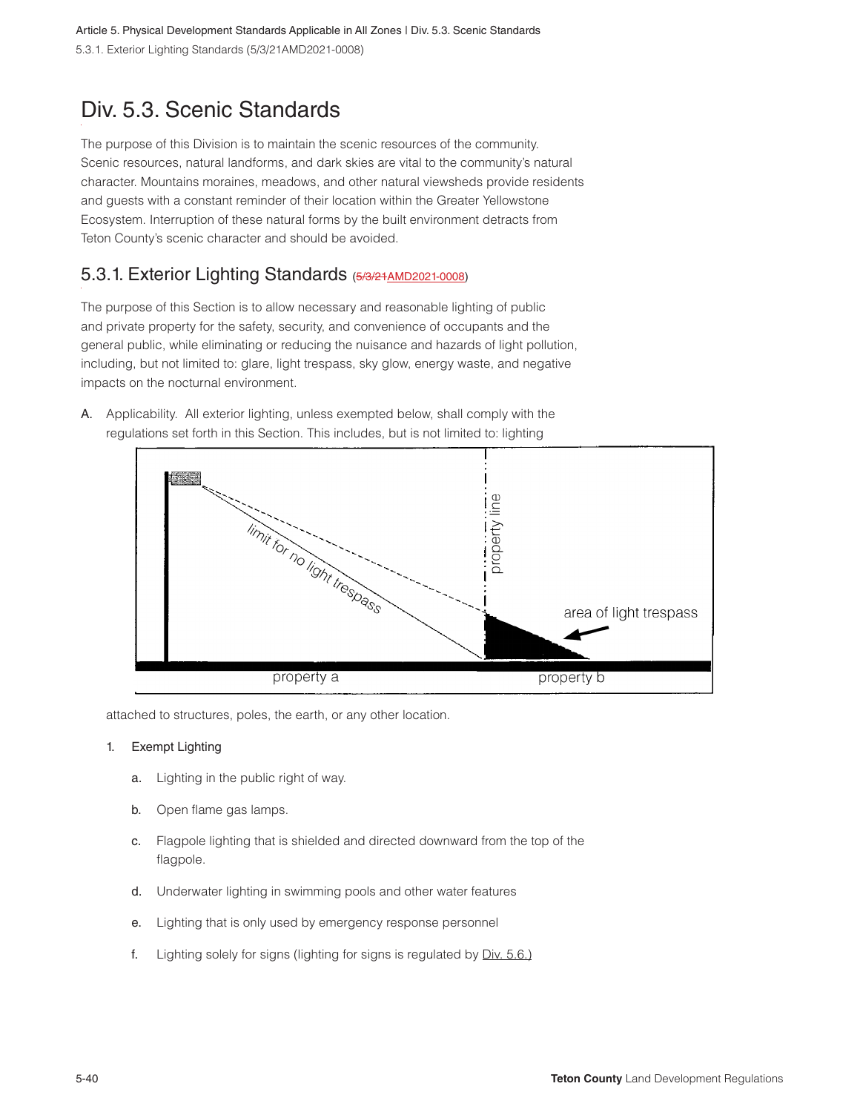Article 5. Physical Development Standards Applicable in All Zones | Div. 5.3. Scenic Standards 5.3.1. Exterior Lighting Standards (5/3/21AMD2021-0008)

## Div. 5.3. Scenic Standards

The purpose of this Division is to maintain the scenic resources of the community. Scenic resources, natural landforms, and dark skies are vital to the community's natural character. Mountains moraines, meadows, and other natural viewsheds provide residents and guests with a constant reminder of their location within the Greater Yellowstone Ecosystem. Interruption of these natural forms by the built environment detracts from Teton County's scenic character and should be avoided.

## 5.3.1. Exterior Lighting Standards (5/3/21 AMD2021-0008)

The purpose of this Section is to allow necessary and reasonable lighting of public and private property for the safety, security, and convenience of occupants and the general public, while eliminating or reducing the nuisance and hazards of light pollution, including, but not limited to: glare, light trespass, sky glow, energy waste, and negative impacts on the nocturnal environment.



A. Applicability. All exterior lighting, unless exempted below, shall comply with the regulations set forth in this Section. This includes, but is not limited to: lighting

attached to structures, poles, the earth, or any other location.

#### 1. Exempt Lighting

- a. Lighting in the public right of way.
- b. Open flame gas lamps.
- c. Flagpole lighting that is shielded and directed downward from the top of the flagpole.
- d. Underwater lighting in swimming pools and other water features
- e. Lighting that is only used by emergency response personnel
- f. Lighting solely for signs (lighting for signs is regulated by Div. 5.6.)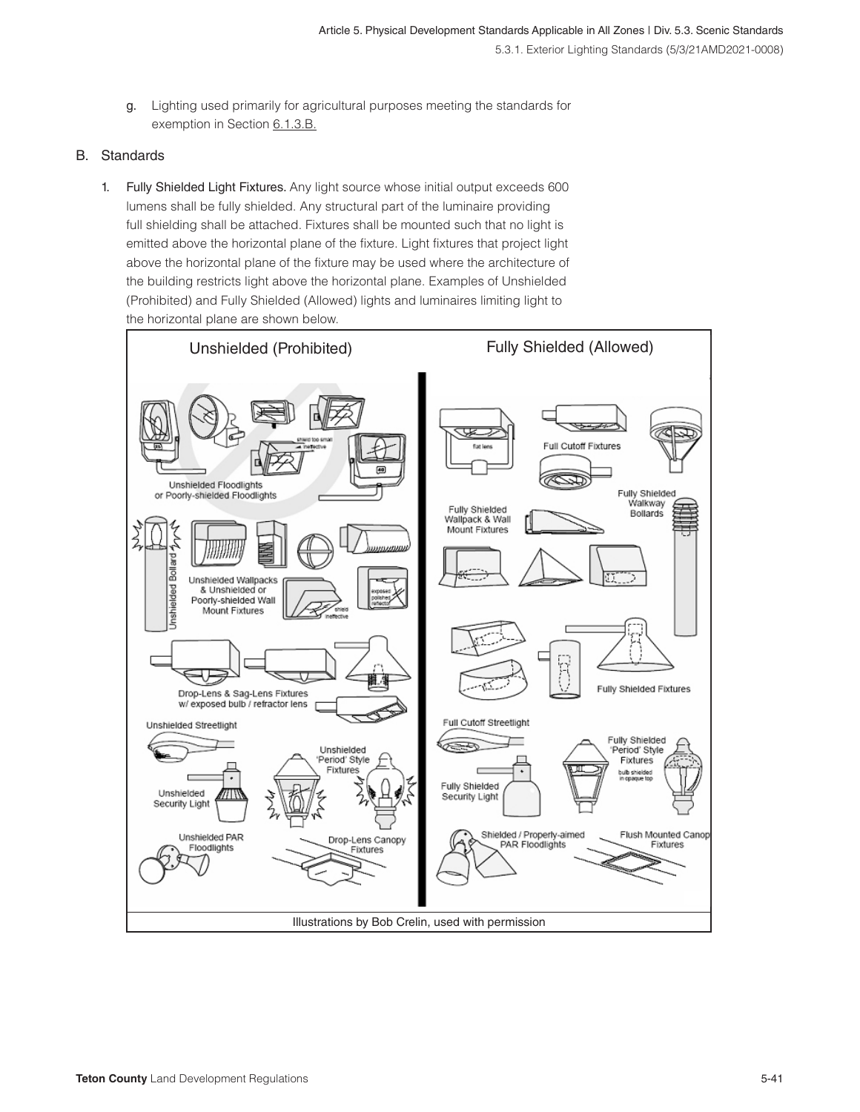g. Lighting used primarily for agricultural purposes meeting the standards for exemption in Section 6.1.3.B.

#### B. Standards

1. Fully Shielded Light Fixtures. Any light source whose initial output exceeds 600 lumens shall be fully shielded. Any structural part of the luminaire providing full shielding shall be attached. Fixtures shall be mounted such that no light is emitted above the horizontal plane of the fixture. Light fixtures that project light above the horizontal plane of the fixture may be used where the architecture of the building restricts light above the horizontal plane. Examples of Unshielded (Prohibited) and Fully Shielded (Allowed) lights and luminaires limiting light to the horizontal plane are shown below.

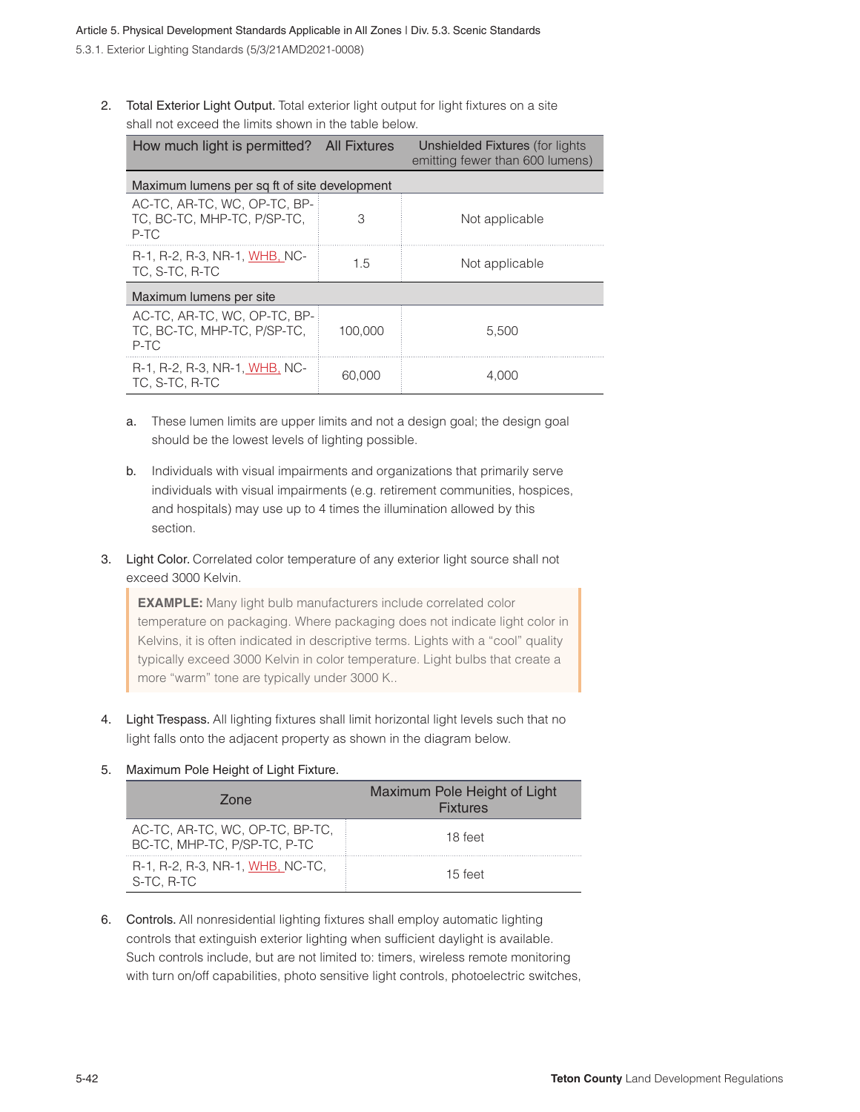2. Total Exterior Light Output. Total exterior light output for light fixtures on a site shall not exceed the limits shown in the table below.

| How much light is permitted? All Fixtures                           |         | Unshielded Fixtures (for lights<br>emitting fewer than 600 lumens) |  |  |  |  |
|---------------------------------------------------------------------|---------|--------------------------------------------------------------------|--|--|--|--|
| Maximum lumens per sq ft of site development                        |         |                                                                    |  |  |  |  |
| AC-TC, AR-TC, WC, OP-TC, BP-<br>TC. BC-TC. MHP-TC. P/SP-TC.<br>P-TC | З       | Not applicable                                                     |  |  |  |  |
| R-1, R-2, R-3, NR-1, WHB, NC-<br>TC. S-TC. R-TC                     | 1.5     | Not applicable                                                     |  |  |  |  |
| Maximum lumens per site                                             |         |                                                                    |  |  |  |  |
| AC-TC, AR-TC, WC, OP-TC, BP-<br>TC. BC-TC. MHP-TC. P/SP-TC.<br>P-TC | 100.000 | 5.500                                                              |  |  |  |  |
| R-1, R-2, R-3, NR-1, WHB, NC-<br>TC. S-TC. R-TC                     | 60.000  |                                                                    |  |  |  |  |

- a. These lumen limits are upper limits and not a design goal; the design goal should be the lowest levels of lighting possible.
- b. Individuals with visual impairments and organizations that primarily serve individuals with visual impairments (e.g. retirement communities, hospices, and hospitals) may use up to 4 times the illumination allowed by this section.
- 3. Light Color. Correlated color temperature of any exterior light source shall not exceed 3000 Kelvin.

**EXAMPLE:** Many light bulb manufacturers include correlated color temperature on packaging. Where packaging does not indicate light color in Kelvins, it is often indicated in descriptive terms. Lights with a "cool" quality typically exceed 3000 Kelvin in color temperature. Light bulbs that create a more "warm" tone are typically under 3000 K..

4. Light Trespass. All lighting fixtures shall limit horizontal light levels such that no light falls onto the adjacent property as shown in the diagram below.

#### 5. Maximum Pole Height of Light Fixture.

| Zone                                                            | Maximum Pole Height of Light<br><b>Fixtures</b> |
|-----------------------------------------------------------------|-------------------------------------------------|
| AC-TC, AR-TC, WC, OP-TC, BP-TC,<br>BC-TC, MHP-TC, P/SP-TC, P-TC | 18 feet                                         |
| R-1, R-2, R-3, NR-1, WHB, NC-TC,<br>S-TC, R-TC                  | 15 feet                                         |

6. Controls. All nonresidential lighting fixtures shall employ automatic lighting controls that extinguish exterior lighting when sufficient daylight is available. Such controls include, but are not limited to: timers, wireless remote monitoring with turn on/off capabilities, photo sensitive light controls, photoelectric switches,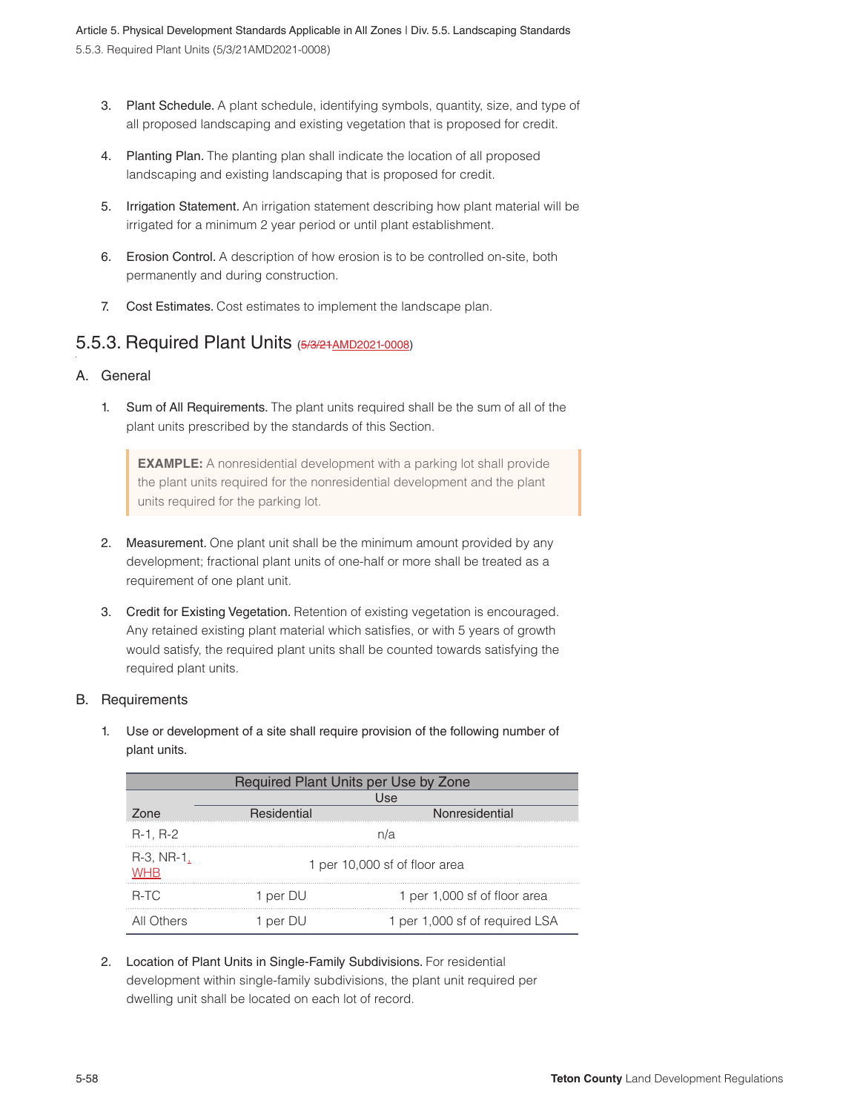- 3. Plant Schedule. A plant schedule, identifying symbols, quantity, size, and type of all proposed landscaping and existing vegetation that is proposed for credit.
- 4. Planting Plan. The planting plan shall indicate the location of all proposed landscaping and existing landscaping that is proposed for credit.
- 5. Irrigation Statement. An irrigation statement describing how plant material will be irrigated for a minimum 2 year period or until plant establishment.
- 6. Erosion Control. A description of how erosion is to be controlled on-site, both permanently and during construction.
- 7. Cost Estimates. Cost estimates to implement the landscape plan.

## 5.5.3. Required Plant Units (5/3/21 AMD2021-0008)

- A. General
	- 1. Sum of All Requirements. The plant units required shall be the sum of all of the plant units prescribed by the standards of this Section.

**EXAMPLE:** A nonresidential development with a parking lot shall provide the plant units required for the nonresidential development and the plant units required for the parking lot.

- 2. Measurement. One plant unit shall be the minimum amount provided by any development; fractional plant units of one-half or more shall be treated as a requirement of one plant unit.
- 3. Credit for Existing Vegetation. Retention of existing vegetation is encouraged. Any retained existing plant material which satisfies, or with 5 years of growth would satisfy, the required plant units shall be counted towards satisfying the required plant units.

#### B. Requirements

1. Use or development of a site shall require provision of the following number of plant units.

| Required Plant Units per Use by Zone |             |                                |  |  |  |
|--------------------------------------|-------------|--------------------------------|--|--|--|
|                                      |             | Use                            |  |  |  |
| Zone                                 | Residential | Nonresidential                 |  |  |  |
| $R-1, R-2$                           |             | n/a                            |  |  |  |
| R-3, NR-1,<br>WHR                    |             | 1 per 10,000 sf of floor area  |  |  |  |
| $R-TC$                               | 1 per DU    | 1 per 1,000 sf of floor area   |  |  |  |
| All Others                           | 1 per DU    | 1 per 1,000 sf of required LSA |  |  |  |

2. Location of Plant Units in Single-Family Subdivisions. For residential development within single-family subdivisions, the plant unit required per dwelling unit shall be located on each lot of record.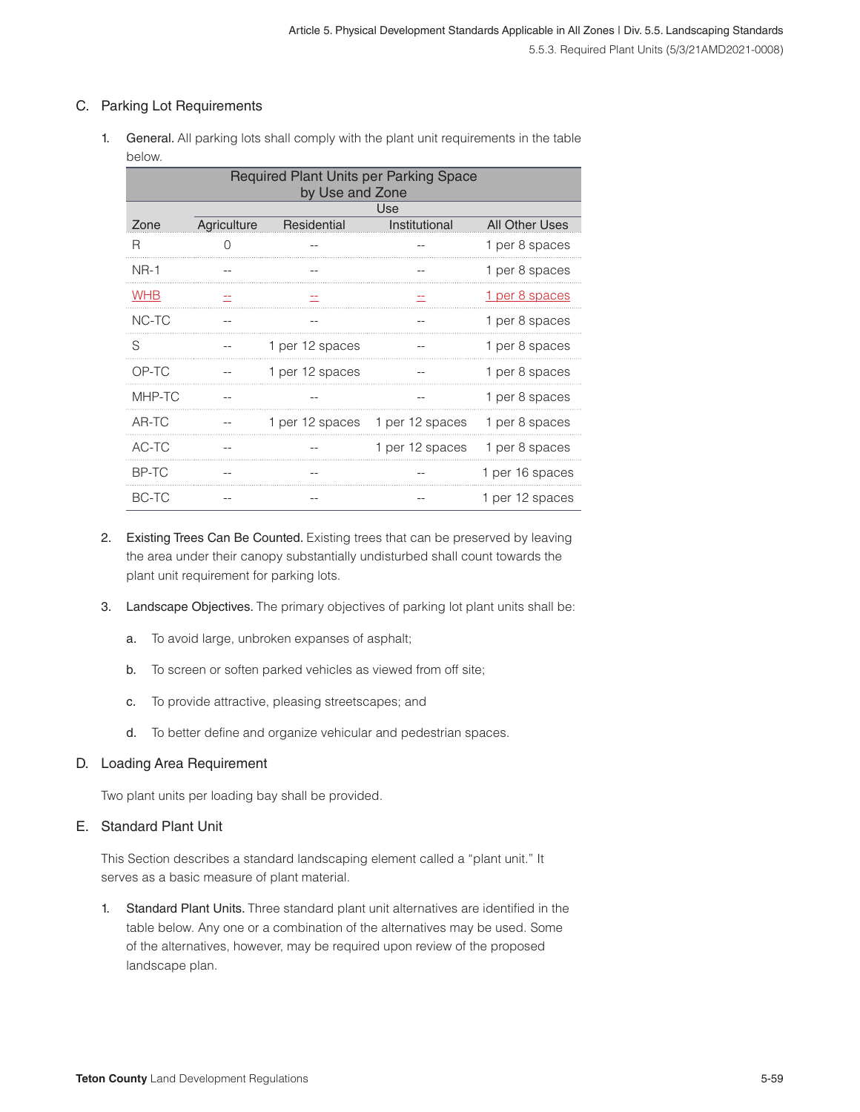#### C. Parking Lot Requirements

1. General. All parking lots shall comply with the plant unit requirements in the table below.

| Required Plant Units per Parking Space<br>by Use and Zone |             |                 |                 |                 |
|-----------------------------------------------------------|-------------|-----------------|-----------------|-----------------|
|                                                           |             |                 | Use             |                 |
| Zone                                                      | Agriculture | Residential     | Institutional   | All Other Uses  |
| R                                                         | O           |                 |                 | 1 per 8 spaces  |
| <b>NR-1</b>                                               |             |                 | --              | 1 per 8 spaces  |
| <b>WHB</b>                                                | --          | --              | ÷               | 1 per 8 spaces  |
| NC-TC                                                     |             |                 |                 | 1 per 8 spaces  |
| S                                                         |             | 1 per 12 spaces |                 | 1 per 8 spaces  |
| OP-TC                                                     |             | 1 per 12 spaces |                 | 1 per 8 spaces  |
| MHP-TC                                                    | $- -$       |                 | --              | 1 per 8 spaces  |
| AR-TC                                                     |             | 1 per 12 spaces | 1 per 12 spaces | 1 per 8 spaces  |
| AC-TC                                                     |             |                 | 1 per 12 spaces | 1 per 8 spaces  |
| BP-TC                                                     |             |                 |                 | 1 per 16 spaces |
| BC-TC                                                     |             |                 |                 | 1 per 12 spaces |

- 2. Existing Trees Can Be Counted. Existing trees that can be preserved by leaving the area under their canopy substantially undisturbed shall count towards the plant unit requirement for parking lots.
- 3. Landscape Objectives. The primary objectives of parking lot plant units shall be:
	- a. To avoid large, unbroken expanses of asphalt;
	- b. To screen or soften parked vehicles as viewed from off site;
	- c. To provide attractive, pleasing streetscapes; and
	- d. To better define and organize vehicular and pedestrian spaces.

#### D. Loading Area Requirement

Two plant units per loading bay shall be provided.

#### E. Standard Plant Unit

This Section describes a standard landscaping element called a "plant unit." It serves as a basic measure of plant material.

1. Standard Plant Units. Three standard plant unit alternatives are identified in the table below. Any one or a combination of the alternatives may be used. Some of the alternatives, however, may be required upon review of the proposed landscape plan.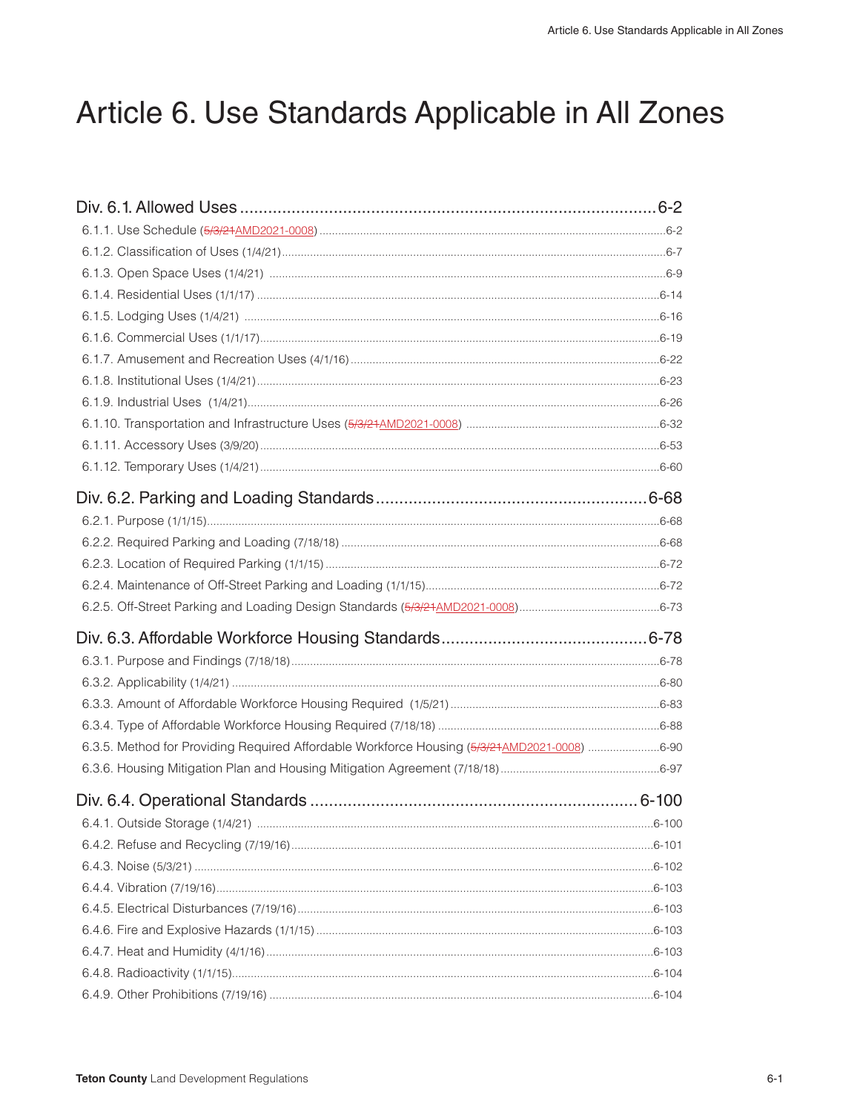# Article 6. Use Standards Applicable in All Zones

| 6.3.5. Method for Providing Required Affordable Workforce Housing (5/3/21 AMD2021-0008) 6-90 |  |
|----------------------------------------------------------------------------------------------|--|
|                                                                                              |  |
|                                                                                              |  |
|                                                                                              |  |
|                                                                                              |  |
|                                                                                              |  |
|                                                                                              |  |
|                                                                                              |  |
|                                                                                              |  |
|                                                                                              |  |
|                                                                                              |  |
|                                                                                              |  |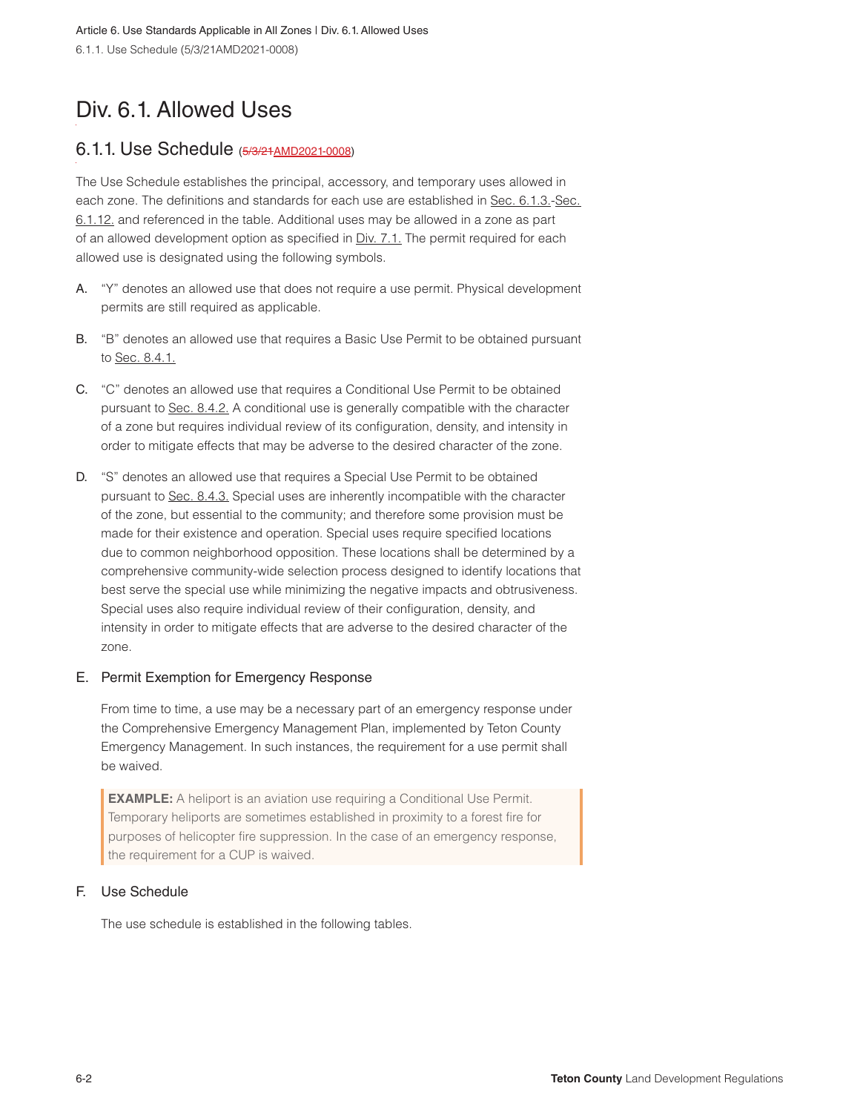# Div. 6.1. Allowed Uses

### 6.1.1. Use Schedule (5/3/21AMD2021-0008)

The Use Schedule establishes the principal, accessory, and temporary uses allowed in each zone. The definitions and standards for each use are established in Sec. 6.1.3.-Sec. 6.1.12. and referenced in the table. Additional uses may be allowed in a zone as part of an allowed development option as specified in Div. 7.1. The permit required for each allowed use is designated using the following symbols.

- A. "Y" denotes an allowed use that does not require a use permit. Physical development permits are still required as applicable.
- B. "B" denotes an allowed use that requires a Basic Use Permit to be obtained pursuant to Sec. 8.4.1.
- C. "C" denotes an allowed use that requires a Conditional Use Permit to be obtained pursuant to Sec. 8.4.2. A conditional use is generally compatible with the character of a zone but requires individual review of its configuration, density, and intensity in order to mitigate effects that may be adverse to the desired character of the zone.
- D. "S" denotes an allowed use that requires a Special Use Permit to be obtained pursuant to Sec. 8.4.3. Special uses are inherently incompatible with the character of the zone, but essential to the community; and therefore some provision must be made for their existence and operation. Special uses require specified locations due to common neighborhood opposition. These locations shall be determined by a comprehensive community-wide selection process designed to identify locations that best serve the special use while minimizing the negative impacts and obtrusiveness. Special uses also require individual review of their configuration, density, and intensity in order to mitigate effects that are adverse to the desired character of the zone.

#### E. Permit Exemption for Emergency Response

From time to time, a use may be a necessary part of an emergency response under the Comprehensive Emergency Management Plan, implemented by Teton County Emergency Management. In such instances, the requirement for a use permit shall be waived.

**EXAMPLE:** A heliport is an aviation use requiring a Conditional Use Permit. Temporary heliports are sometimes established in proximity to a forest fire for purposes of helicopter fire suppression. In the case of an emergency response, the requirement for a CUP is waived.

#### F. Use Schedule

The use schedule is established in the following tables.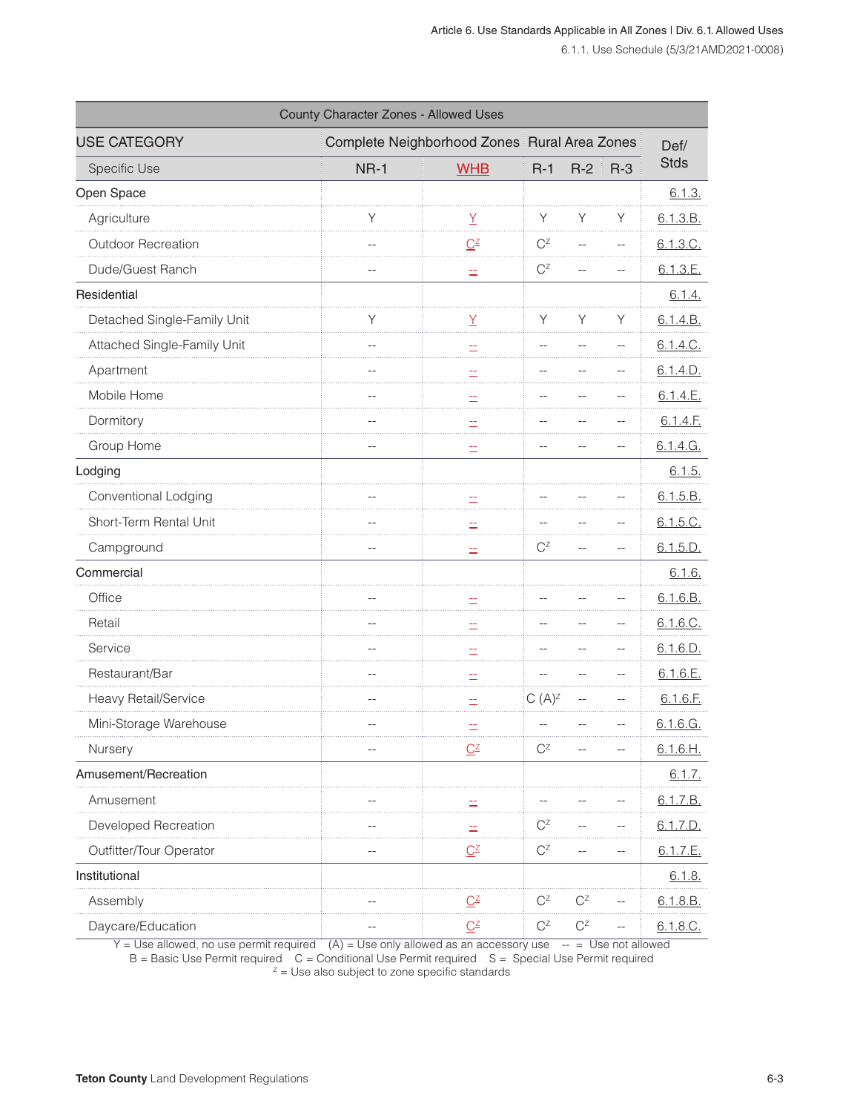| County Character Zones - Allowed Uses |                                              |                                 |                           |       |         |             |
|---------------------------------------|----------------------------------------------|---------------------------------|---------------------------|-------|---------|-------------|
| <b>USE CATEGORY</b>                   | Complete Neighborhood Zones Rural Area Zones |                                 |                           |       |         | Def/        |
| Specific Use                          | <b>NR-1</b>                                  | <b>WHB</b>                      | $R-1$                     | $R-2$ | $R - 3$ | <b>Stds</b> |
| Open Space                            |                                              |                                 |                           |       |         | 6.1.3.      |
| Agriculture                           | Υ                                            | $\frac{Y}{Y}$                   | Y                         | Υ     | Y       | 6.1.3.B.    |
| Outdoor Recreation                    |                                              | $Q^2$                           | $C^Z$                     |       |         | 6.1.3.C.    |
| Dude/Guest Ranch                      |                                              | $\equiv$                        | $C^Z$                     |       |         | 6.1.3.E.    |
| Residential                           |                                              |                                 |                           |       |         | 6.1.4.      |
| Detached Single-Family Unit           | Y                                            | Y                               | Υ                         | Υ     | Y       | 6.1.4.B.    |
| Attached Single-Family Unit           |                                              |                                 |                           |       |         | 6.1.4.C.    |
| Apartment                             |                                              | Ξ,                              |                           |       |         | 6.1.4.D.    |
| Mobile Home                           |                                              |                                 |                           |       |         | 6.1.4.E.    |
| Dormitory                             |                                              | ÷.                              |                           |       |         | 6.1.4.F.    |
| Group Home                            |                                              | ÷.                              |                           |       |         | 6.1.4.G.    |
| Lodging                               |                                              |                                 |                           |       |         | 6.1.5.      |
| Conventional Lodging                  |                                              |                                 |                           |       |         | 6.1.5.B.    |
| Short-Term Rental Unit                |                                              | ÷,                              |                           |       |         | 6.1.5.C.    |
| Campground                            |                                              | ÷.                              | $C^Z$                     |       |         | 6.1.5.D.    |
| Commercial                            |                                              |                                 |                           |       |         | 6.1.6.      |
| Office                                |                                              |                                 |                           |       |         | 6.1.6.B.    |
| Retail                                |                                              | Ė.                              |                           |       |         | 6.1.6.C.    |
| Service                               |                                              |                                 |                           |       |         | 6.1.6.D.    |
| Restaurant/Bar                        |                                              | ÷,                              |                           |       |         | 6.1.6.E.    |
| Heavy Retail/Service                  |                                              |                                 | $C(A)^{Z}$                |       |         | 6.1.6.F.    |
| Mini-Storage Warehouse                | $-$                                          | ÷,                              |                           |       |         | 6.1.6.G.    |
| Nursery                               |                                              | $\underline{C}^{\underline{Z}}$ | $\mathbf{C}^{\mathsf{Z}}$ |       |         | 6.1.6.H.    |
| Amusement/Recreation                  |                                              |                                 |                           |       |         | 6.1.7.      |
| Amusement                             |                                              |                                 |                           |       |         | 6.1.7.B.    |
| Developed Recreation                  |                                              |                                 | $C^Z$                     |       |         | 6.1.7.D.    |
| Outfitter/Tour Operator               |                                              | $\underline{C}$                 | $C^Z$                     |       |         | 6.1.7.E.    |
| Institutional                         |                                              |                                 |                           |       |         | 6.1.8.      |
| Assembly                              |                                              | $\underline{C}$                 | $C^Z$                     | $C^Z$ |         | 6.1.8.B.    |
| Daycare/Education                     |                                              | $\underline{C}$                 | $C^Z$                     | $C^Z$ |         | 6.1.8.C.    |

 $Y = Use allowed$ , no use permit required  $(A) = Use only allowed$  as an accessory use  $- = Use not allowed$ 

 $B =$  Basic Use Permit required  $C =$  Conditional Use Permit required  $S =$  Special Use Permit required  $Z =$  Use also subject to zone specific standards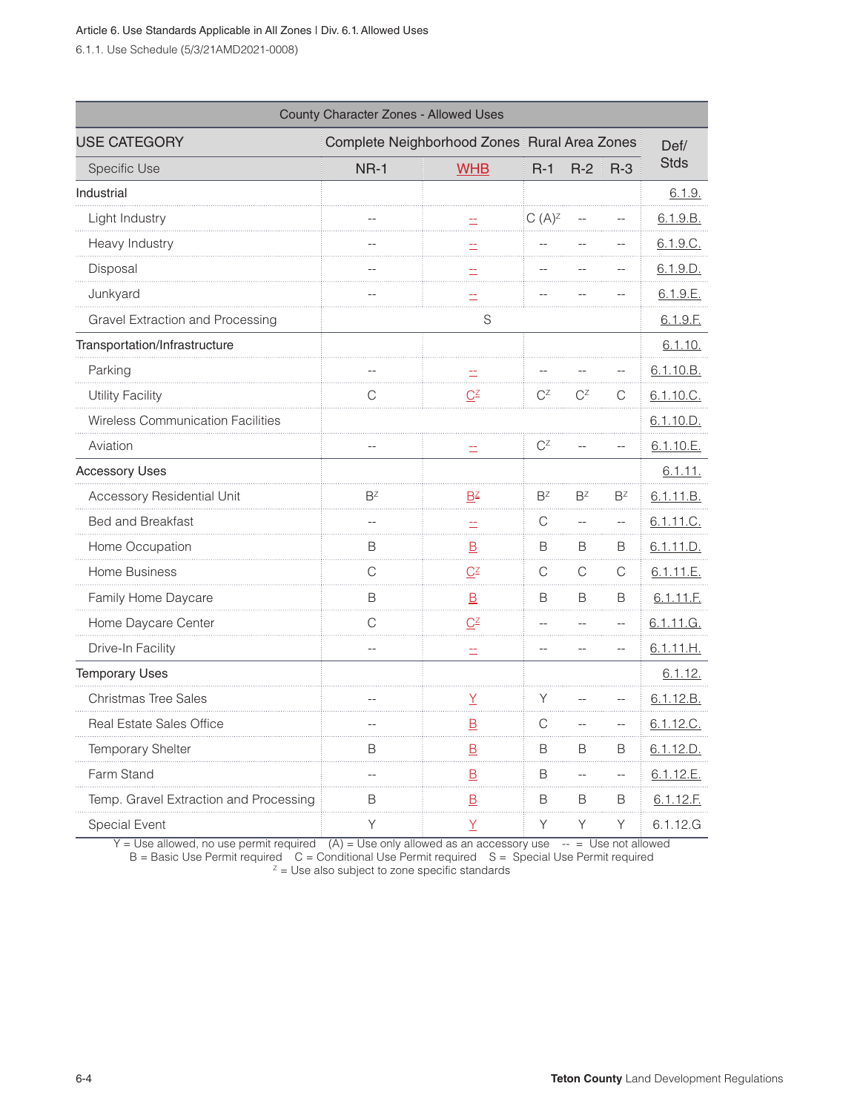6.1.1. Use Schedule (5/3/21AMD2021-0008)

| County Character Zones - Allowed Uses    |                                              |                                                       |            |                |       |             |
|------------------------------------------|----------------------------------------------|-------------------------------------------------------|------------|----------------|-------|-------------|
| <b>USE CATEGORY</b>                      | Complete Neighborhood Zones Rural Area Zones |                                                       |            |                |       | Def/        |
| Specific Use                             | $NR-1$                                       | <b>WHB</b>                                            | $R-1$      | $R-2$          | $R-3$ | <b>Stds</b> |
| Industrial                               |                                              |                                                       |            |                |       | 6.1.9.      |
| Light Industry                           |                                              |                                                       | $C(A)^{Z}$ |                |       | 6.1.9.B.    |
| Heavy Industry                           |                                              |                                                       |            |                |       | 6.1.9.C.    |
| Disposal                                 |                                              | <u>=</u>                                              |            |                |       | 6.1.9.D.    |
| Junkyard                                 |                                              | Ë                                                     |            |                |       | 6.1.9.E.    |
| Gravel Extraction and Processing         |                                              | S                                                     |            |                |       | 6.1.9.F.    |
| Transportation/Infrastructure            |                                              |                                                       |            |                |       | 6.1.10.     |
| Parking                                  |                                              | E.                                                    |            |                |       | 6.1.10.B.   |
| <b>Utility Facility</b>                  | С                                            | $\underline{C}$                                       | $C^Z$      | $C^Z$          | С     | 6.1.10.C.   |
| <b>Wireless Communication Facilities</b> |                                              |                                                       |            |                |       | 6.1.10.D.   |
| Aviation                                 |                                              |                                                       | $C^Z$      |                |       | 6.1.10.E.   |
| <b>Accessory Uses</b>                    |                                              |                                                       |            |                |       | 6.1.11.     |
| <b>Accessory Residential Unit</b>        | $B^Z$                                        | $B^Z$                                                 | $B^Z$      | $B^Z$          | $B^Z$ | 6.1.11.B.   |
| <b>Bed and Breakfast</b>                 |                                              |                                                       | С          | $\overline{a}$ | --    | 6.1.11.C.   |
| Home Occupation                          | B                                            | $\overline{B}$                                        | B          | B              | В     | 6.1.11.D.   |
| Home Business                            | С                                            | $\underline{C}^{\underline{Z}}$                       | С          | C              | C     | 6.1.11.E.   |
| Family Home Daycare                      | B                                            | $\mathbf{\underline{B}}$                              | B          | B              | B     | 6.1.11.E.   |
| Home Daycare Center                      | С                                            | $\underline{C}$ <sup><math>\underline{Z}</math></sup> |            |                |       | 6.1.11.G.   |
| Drive-In Facility                        |                                              | ÷.                                                    |            |                |       | 6.1.11.H.   |
| <b>Temporary Uses</b>                    |                                              |                                                       |            |                |       | 6.1.12.     |
| Christmas Tree Sales                     |                                              | Y                                                     | Υ          |                |       | 6.1.12.B.   |
| Real Estate Sales Office                 |                                              | $\overline{B}$                                        | C          |                |       | 6.1.12.C.   |
| Temporary Shelter                        | B                                            | $\overline{B}$                                        | B          | B              | B     | 6.1.12.D.   |
| Farm Stand                               |                                              | $\overline{B}$                                        | B          |                |       | 6.1.12.E.   |
| Temp. Gravel Extraction and Processing   | B                                            | $\overline{B}$                                        | B          | B              | B     | 6.1.12.E.   |
| Special Event                            | Υ                                            | Y                                                     | Υ          | Υ              | Υ     | 6.1.12.G    |

Y = Use allowed, no use permit required (A) = Use only allowed as an accessory use  $\rightarrow$  = Use not allowed B = Basic Use Permit required  $C =$  Conditional Use Permit required  $S =$  Special Use Permit required  $Z =$  Use also subject to zone specific standards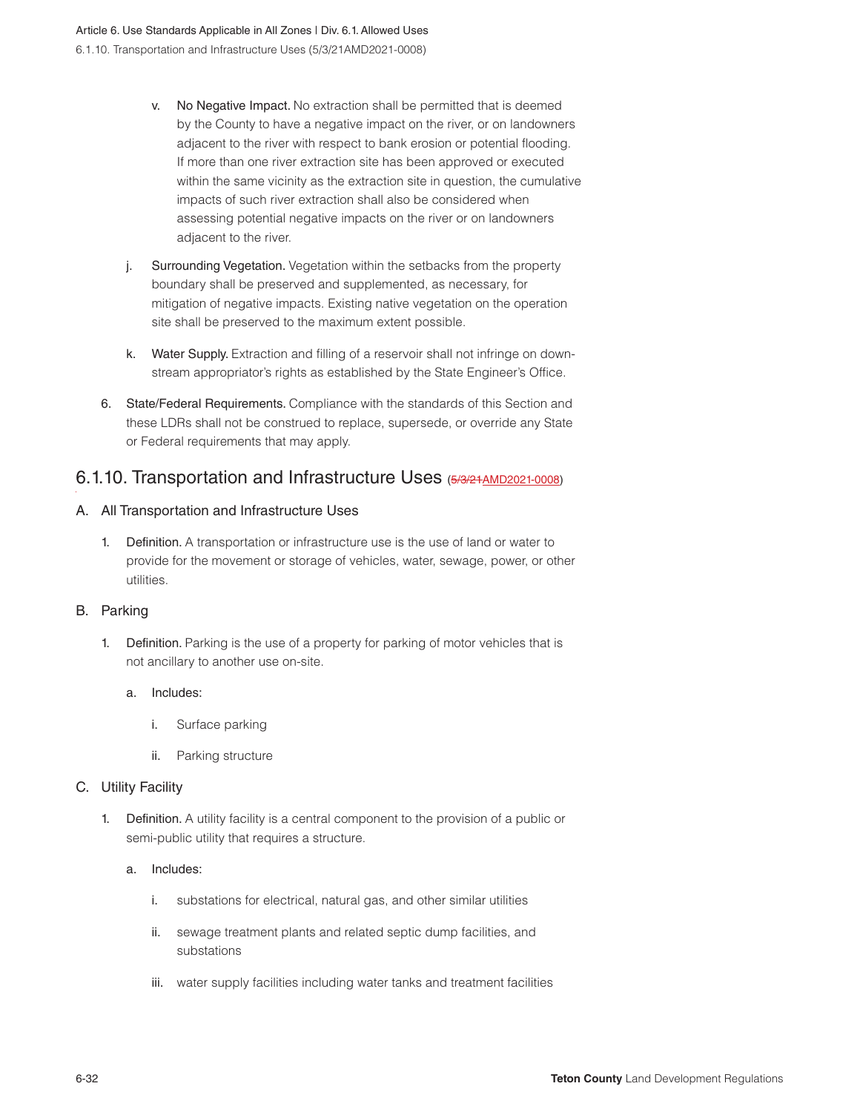- v. No Negative Impact. No extraction shall be permitted that is deemed by the County to have a negative impact on the river, or on landowners adjacent to the river with respect to bank erosion or potential flooding. If more than one river extraction site has been approved or executed within the same vicinity as the extraction site in question, the cumulative impacts of such river extraction shall also be considered when assessing potential negative impacts on the river or on landowners adjacent to the river.
- j. Surrounding Vegetation. Vegetation within the setbacks from the property boundary shall be preserved and supplemented, as necessary, for mitigation of negative impacts. Existing native vegetation on the operation site shall be preserved to the maximum extent possible.
- k. Water Supply. Extraction and filling of a reservoir shall not infringe on downstream appropriator's rights as established by the State Engineer's Office.
- 6. State/Federal Requirements. Compliance with the standards of this Section and these LDRs shall not be construed to replace, supersede, or override any State or Federal requirements that may apply.

## 6.1.10. Transportation and Infrastructure Uses (5/3/21AMD2021-0008)

#### A. All Transportation and Infrastructure Uses

1. Definition. A transportation or infrastructure use is the use of land or water to provide for the movement or storage of vehicles, water, sewage, power, or other utilities.

#### B. Parking

1. Definition. Parking is the use of a property for parking of motor vehicles that is not ancillary to another use on-site.

#### a. Includes:

- i. Surface parking
- ii. Parking structure

#### C. Utility Facility

1. Definition. A utility facility is a central component to the provision of a public or semi-public utility that requires a structure.

#### a. Includes:

- i. substations for electrical, natural gas, and other similar utilities
- ii. sewage treatment plants and related septic dump facilities, and substations
- iii. water supply facilities including water tanks and treatment facilities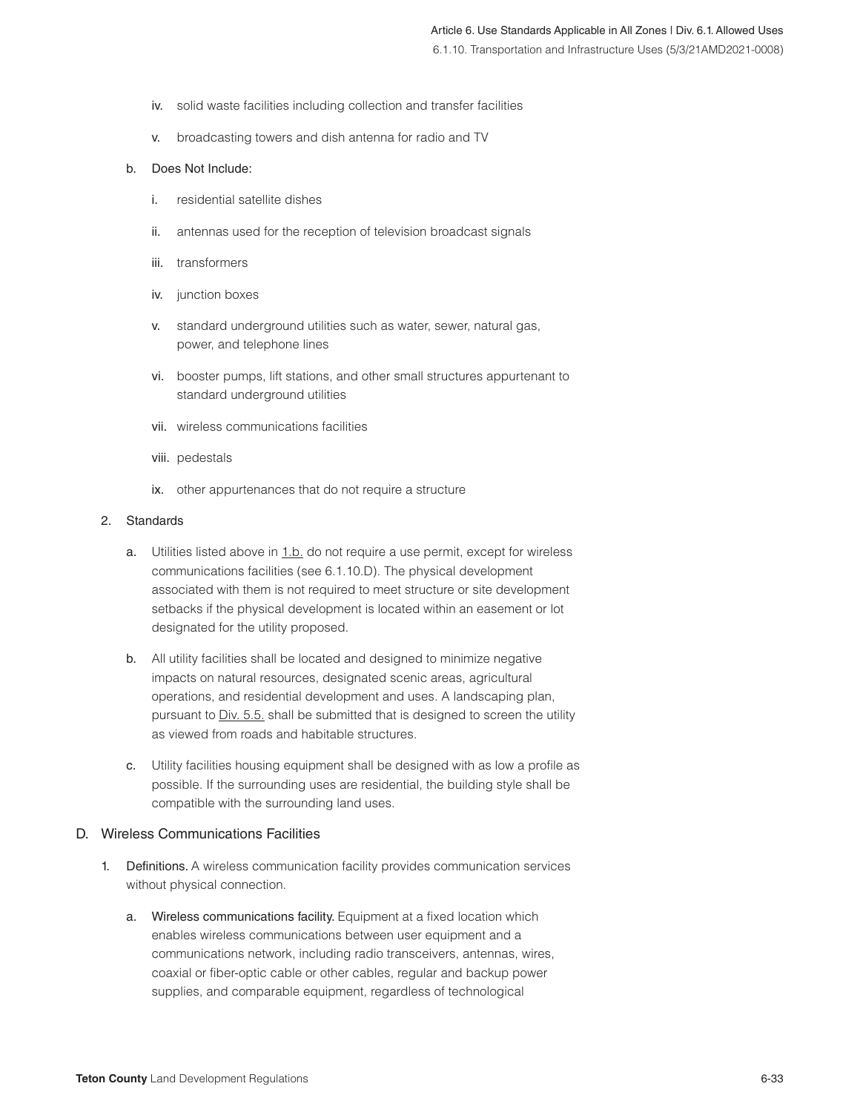- iv. solid waste facilities including collection and transfer facilities
- v. broadcasting towers and dish antenna for radio and TV

#### b. Does Not Include:

- i. residential satellite dishes
- ii. antennas used for the reception of television broadcast signals
- iii. transformers
- iv. junction boxes
- v. standard underground utilities such as water, sewer, natural gas, power, and telephone lines
- vi. booster pumps, lift stations, and other small structures appurtenant to standard underground utilities
- vii. wireless communications facilities
- viii. pedestals
- ix. other appurtenances that do not require a structure

#### 2. Standards

- a. Utilities listed above in 1.b. do not require a use permit, except for wireless communications facilities (see 6.1.10.D). The physical development associated with them is not required to meet structure or site development setbacks if the physical development is located within an easement or lot designated for the utility proposed.
- b. All utility facilities shall be located and designed to minimize negative impacts on natural resources, designated scenic areas, agricultural operations, and residential development and uses. A landscaping plan, pursuant to Div. 5.5. shall be submitted that is designed to screen the utility as viewed from roads and habitable structures.
- c. Utility facilities housing equipment shall be designed with as low a profile as possible. If the surrounding uses are residential, the building style shall be compatible with the surrounding land uses.

#### D. Wireless Communications Facilities

- 1. Definitions. A wireless communication facility provides communication services without physical connection.
	- a. Wireless communications facility. Equipment at a fixed location which enables wireless communications between user equipment and a communications network, including radio transceivers, antennas, wires, coaxial or fiber-optic cable or other cables, regular and backup power supplies, and comparable equipment, regardless of technological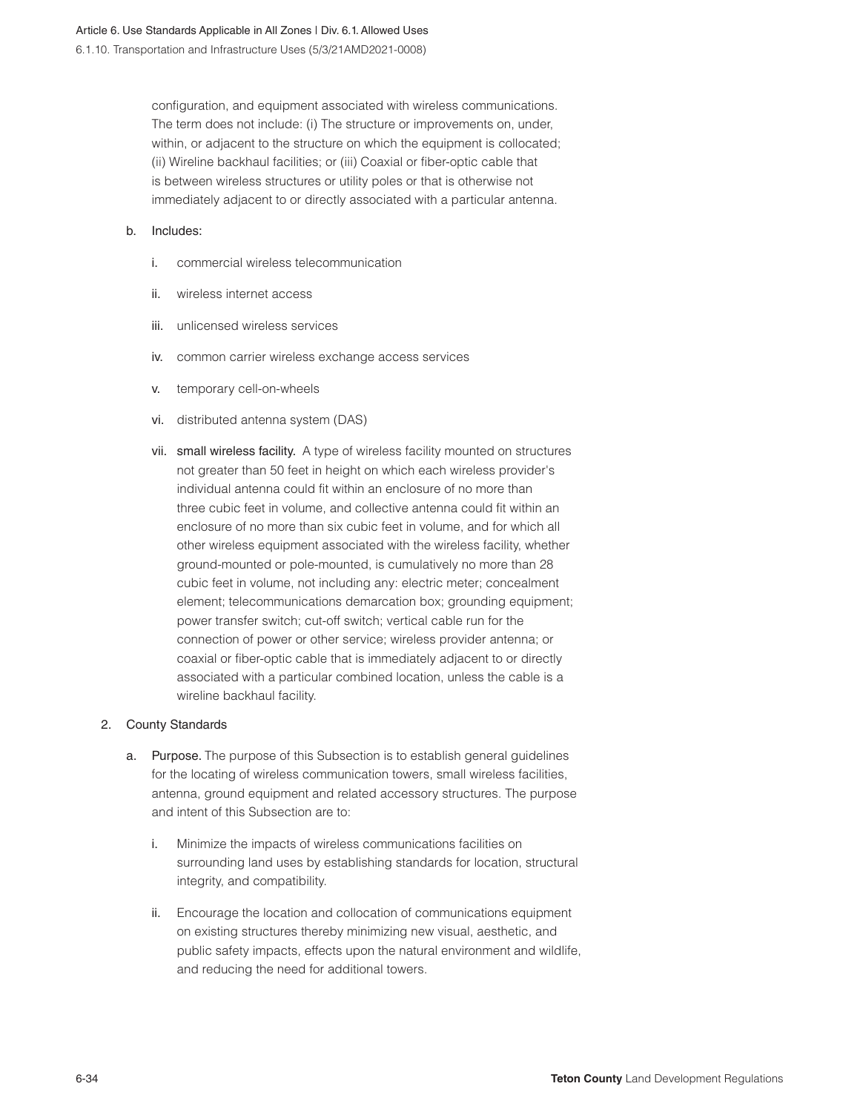configuration, and equipment associated with wireless communications. The term does not include: (i) The structure or improvements on, under, within, or adjacent to the structure on which the equipment is collocated; (ii) Wireline backhaul facilities; or (iii) Coaxial or fiber-optic cable that is between wireless structures or utility poles or that is otherwise not immediately adjacent to or directly associated with a particular antenna.

#### b. Includes:

- i. commercial wireless telecommunication
- ii. wireless internet access
- iii. unlicensed wireless services
- iv. common carrier wireless exchange access services
- v. temporary cell-on-wheels
- vi. distributed antenna system (DAS)
- vii. small wireless facility. A type of wireless facility mounted on structures not greater than 50 feet in height on which each wireless provider's individual antenna could fit within an enclosure of no more than three cubic feet in volume, and collective antenna could fit within an enclosure of no more than six cubic feet in volume, and for which all other wireless equipment associated with the wireless facility, whether ground-mounted or pole-mounted, is cumulatively no more than 28 cubic feet in volume, not including any: electric meter; concealment element; telecommunications demarcation box; grounding equipment; power transfer switch; cut-off switch; vertical cable run for the connection of power or other service; wireless provider antenna; or coaxial or fiber-optic cable that is immediately adjacent to or directly associated with a particular combined location, unless the cable is a wireline backhaul facility.

#### 2. County Standards

- a. Purpose. The purpose of this Subsection is to establish general guidelines for the locating of wireless communication towers, small wireless facilities, antenna, ground equipment and related accessory structures. The purpose and intent of this Subsection are to:
	- i. Minimize the impacts of wireless communications facilities on surrounding land uses by establishing standards for location, structural integrity, and compatibility.
	- ii. Encourage the location and collocation of communications equipment on existing structures thereby minimizing new visual, aesthetic, and public safety impacts, effects upon the natural environment and wildlife, and reducing the need for additional towers.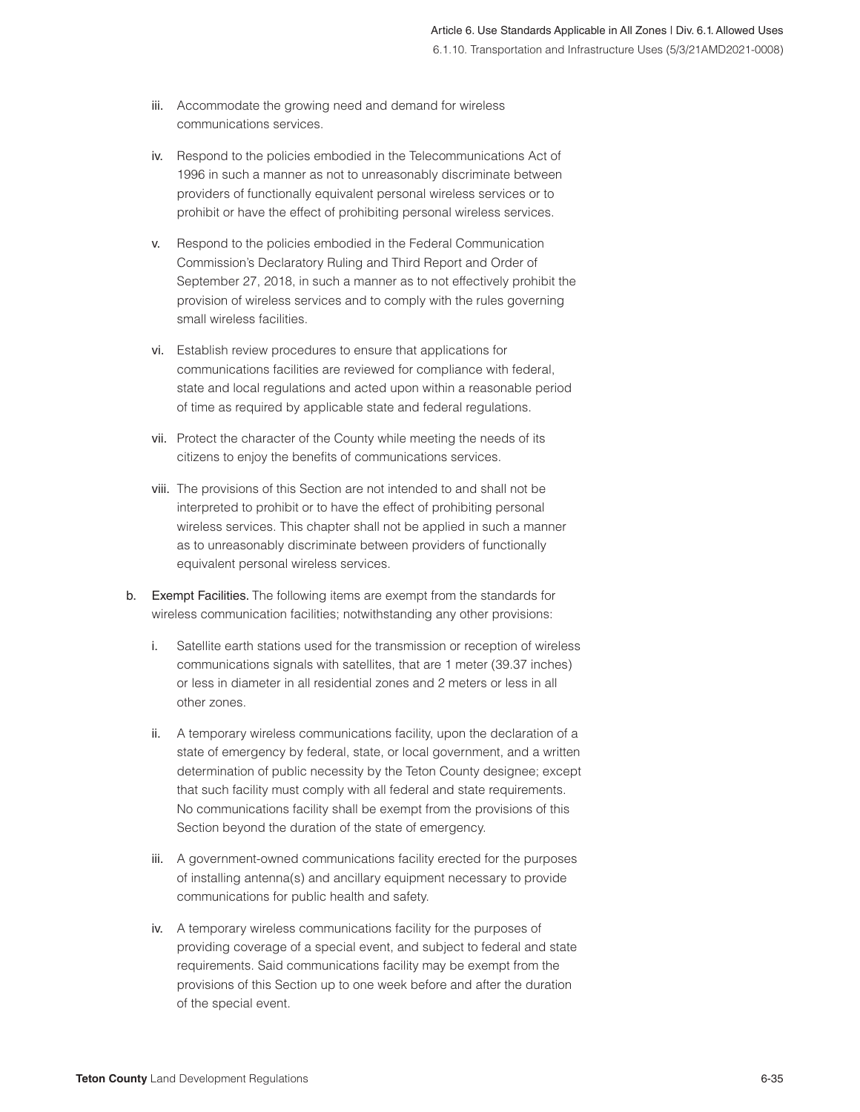- iii. Accommodate the growing need and demand for wireless communications services.
- iv. Respond to the policies embodied in the Telecommunications Act of 1996 in such a manner as not to unreasonably discriminate between providers of functionally equivalent personal wireless services or to prohibit or have the effect of prohibiting personal wireless services.
- v. Respond to the policies embodied in the Federal Communication Commission's Declaratory Ruling and Third Report and Order of September 27, 2018, in such a manner as to not effectively prohibit the provision of wireless services and to comply with the rules governing small wireless facilities.
- vi. Establish review procedures to ensure that applications for communications facilities are reviewed for compliance with federal, state and local regulations and acted upon within a reasonable period of time as required by applicable state and federal regulations.
- vii. Protect the character of the County while meeting the needs of its citizens to enjoy the benefits of communications services.
- viii. The provisions of this Section are not intended to and shall not be interpreted to prohibit or to have the effect of prohibiting personal wireless services. This chapter shall not be applied in such a manner as to unreasonably discriminate between providers of functionally equivalent personal wireless services.
- b. Exempt Facilities. The following items are exempt from the standards for wireless communication facilities; notwithstanding any other provisions:
	- i. Satellite earth stations used for the transmission or reception of wireless communications signals with satellites, that are 1 meter (39.37 inches) or less in diameter in all residential zones and 2 meters or less in all other zones.
	- ii. A temporary wireless communications facility, upon the declaration of a state of emergency by federal, state, or local government, and a written determination of public necessity by the Teton County designee; except that such facility must comply with all federal and state requirements. No communications facility shall be exempt from the provisions of this Section beyond the duration of the state of emergency.
	- iii. A government-owned communications facility erected for the purposes of installing antenna(s) and ancillary equipment necessary to provide communications for public health and safety.
	- iv. A temporary wireless communications facility for the purposes of providing coverage of a special event, and subject to federal and state requirements. Said communications facility may be exempt from the provisions of this Section up to one week before and after the duration of the special event.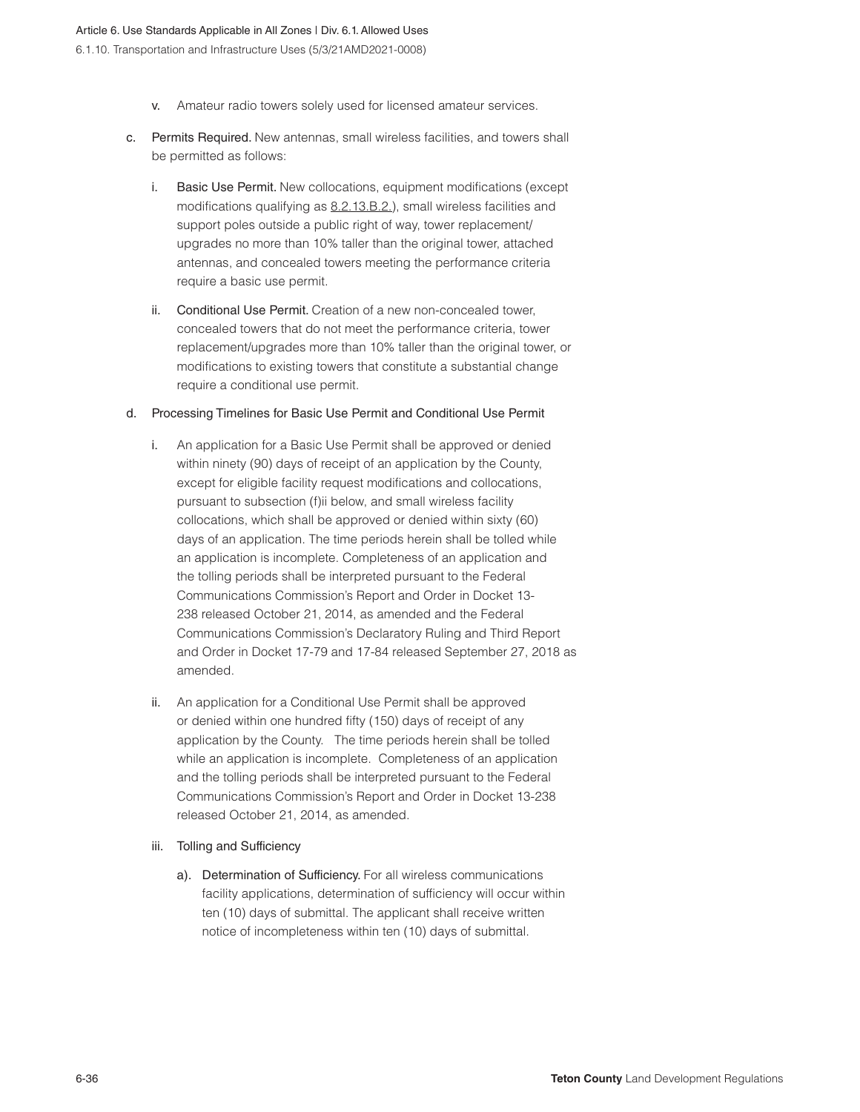- v. Amateur radio towers solely used for licensed amateur services.
- c. Permits Required. New antennas, small wireless facilities, and towers shall be permitted as follows:
	- i. Basic Use Permit. New collocations, equipment modifications (except modifications qualifying as 8.2.13.B.2.), small wireless facilities and support poles outside a public right of way, tower replacement/ upgrades no more than 10% taller than the original tower, attached antennas, and concealed towers meeting the performance criteria require a basic use permit.
	- ii. Conditional Use Permit. Creation of a new non-concealed tower, concealed towers that do not meet the performance criteria, tower replacement/upgrades more than 10% taller than the original tower, or modifications to existing towers that constitute a substantial change require a conditional use permit.

#### d. Processing Timelines for Basic Use Permit and Conditional Use Permit

- i. An application for a Basic Use Permit shall be approved or denied within ninety (90) days of receipt of an application by the County, except for eligible facility request modifications and collocations, pursuant to subsection (f)ii below, and small wireless facility collocations, which shall be approved or denied within sixty (60) days of an application. The time periods herein shall be tolled while an application is incomplete. Completeness of an application and the tolling periods shall be interpreted pursuant to the Federal Communications Commission's Report and Order in Docket 13- 238 released October 21, 2014, as amended and the Federal Communications Commission's Declaratory Ruling and Third Report and Order in Docket 17-79 and 17-84 released September 27, 2018 as amended.
- ii. An application for a Conditional Use Permit shall be approved or denied within one hundred fifty (150) days of receipt of any application by the County. The time periods herein shall be tolled while an application is incomplete. Completeness of an application and the tolling periods shall be interpreted pursuant to the Federal Communications Commission's Report and Order in Docket 13-238 released October 21, 2014, as amended.

#### iii. Tolling and Sufficiency

a). Determination of Sufficiency. For all wireless communications facility applications, determination of sufficiency will occur within ten (10) days of submittal. The applicant shall receive written notice of incompleteness within ten (10) days of submittal.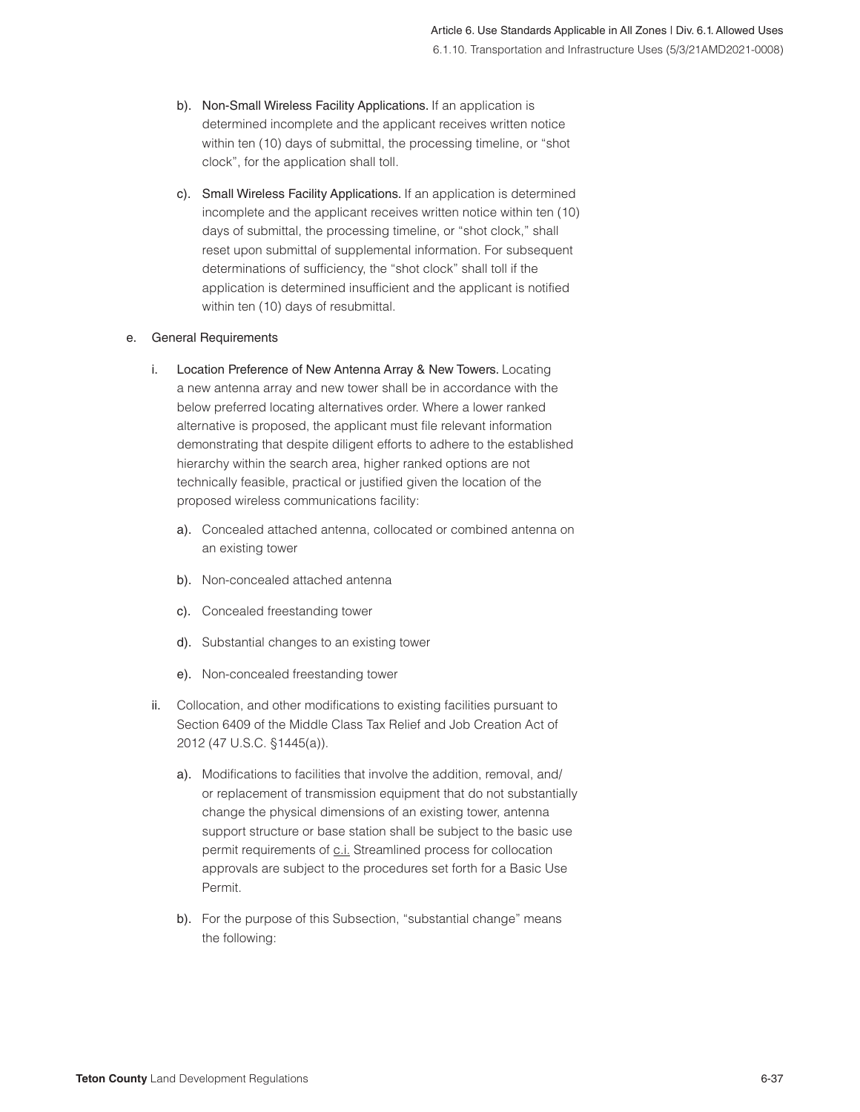- b). Non-Small Wireless Facility Applications. If an application is determined incomplete and the applicant receives written notice within ten (10) days of submittal, the processing timeline, or "shot clock", for the application shall toll.
- c). Small Wireless Facility Applications. If an application is determined incomplete and the applicant receives written notice within ten (10) days of submittal, the processing timeline, or "shot clock," shall reset upon submittal of supplemental information. For subsequent determinations of sufficiency, the "shot clock" shall toll if the application is determined insufficient and the applicant is notified within ten (10) days of resubmittal.

#### e. General Requirements

- i. Location Preference of New Antenna Array & New Towers. Locating a new antenna array and new tower shall be in accordance with the below preferred locating alternatives order. Where a lower ranked alternative is proposed, the applicant must file relevant information demonstrating that despite diligent efforts to adhere to the established hierarchy within the search area, higher ranked options are not technically feasible, practical or justified given the location of the proposed wireless communications facility:
	- a). Concealed attached antenna, collocated or combined antenna on an existing tower
	- b). Non-concealed attached antenna
	- c). Concealed freestanding tower
	- d). Substantial changes to an existing tower
	- e). Non-concealed freestanding tower
- ii. Collocation, and other modifications to existing facilities pursuant to Section 6409 of the Middle Class Tax Relief and Job Creation Act of 2012 (47 U.S.C. §1445(a)).
	- a). Modifications to facilities that involve the addition, removal, and/ or replacement of transmission equipment that do not substantially change the physical dimensions of an existing tower, antenna support structure or base station shall be subject to the basic use permit requirements of c.i. Streamlined process for collocation approvals are subject to the procedures set forth for a Basic Use Permit.
	- b). For the purpose of this Subsection, "substantial change" means the following: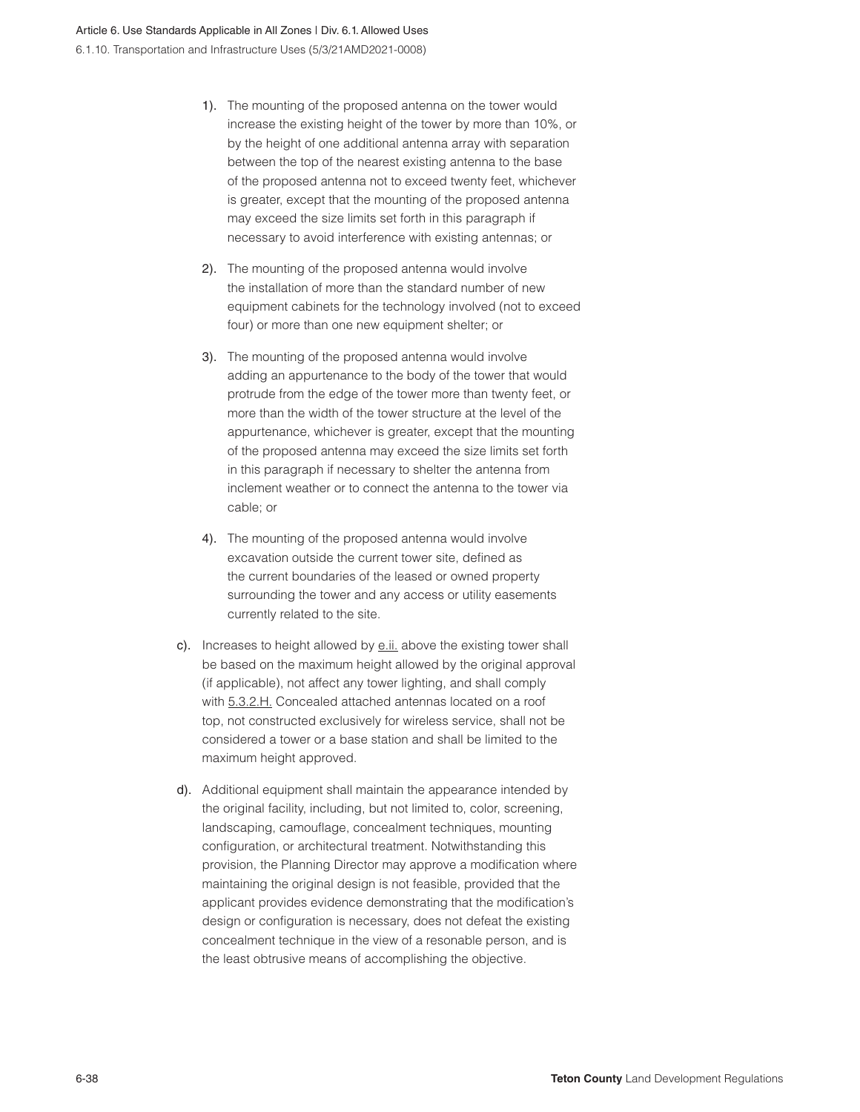- 1). The mounting of the proposed antenna on the tower would increase the existing height of the tower by more than 10%, or by the height of one additional antenna array with separation between the top of the nearest existing antenna to the base of the proposed antenna not to exceed twenty feet, whichever is greater, except that the mounting of the proposed antenna may exceed the size limits set forth in this paragraph if necessary to avoid interference with existing antennas; or
- 2). The mounting of the proposed antenna would involve the installation of more than the standard number of new equipment cabinets for the technology involved (not to exceed four) or more than one new equipment shelter; or
- 3). The mounting of the proposed antenna would involve adding an appurtenance to the body of the tower that would protrude from the edge of the tower more than twenty feet, or more than the width of the tower structure at the level of the appurtenance, whichever is greater, except that the mounting of the proposed antenna may exceed the size limits set forth in this paragraph if necessary to shelter the antenna from inclement weather or to connect the antenna to the tower via cable; or
- 4). The mounting of the proposed antenna would involve excavation outside the current tower site, defined as the current boundaries of the leased or owned property surrounding the tower and any access or utility easements currently related to the site.
- c). Increases to height allowed by e.ii. above the existing tower shall be based on the maximum height allowed by the original approval (if applicable), not affect any tower lighting, and shall comply with 5.3.2.H. Concealed attached antennas located on a roof top, not constructed exclusively for wireless service, shall not be considered a tower or a base station and shall be limited to the maximum height approved.
- d). Additional equipment shall maintain the appearance intended by the original facility, including, but not limited to, color, screening, landscaping, camouflage, concealment techniques, mounting configuration, or architectural treatment. Notwithstanding this provision, the Planning Director may approve a modification where maintaining the original design is not feasible, provided that the applicant provides evidence demonstrating that the modification's design or configuration is necessary, does not defeat the existing concealment technique in the view of a resonable person, and is the least obtrusive means of accomplishing the objective.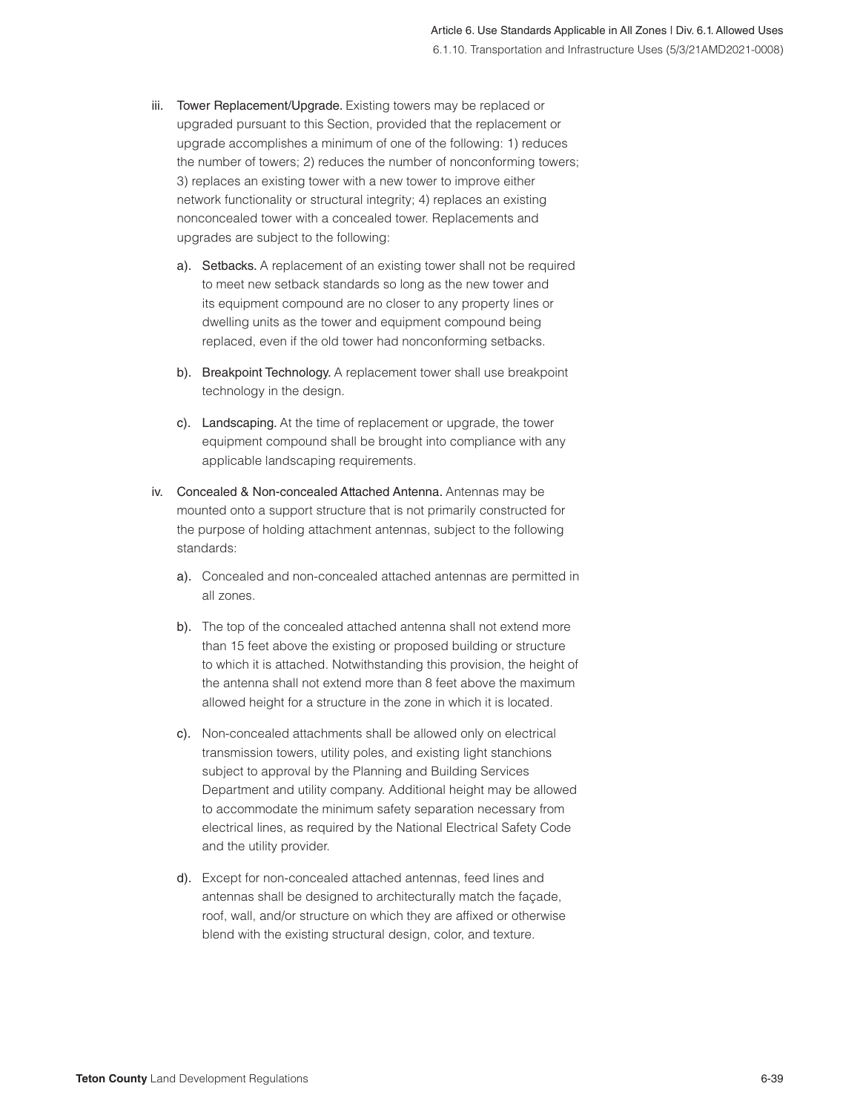- iii. Tower Replacement/Upgrade. Existing towers may be replaced or upgraded pursuant to this Section, provided that the replacement or upgrade accomplishes a minimum of one of the following: 1) reduces the number of towers; 2) reduces the number of nonconforming towers; 3) replaces an existing tower with a new tower to improve either network functionality or structural integrity; 4) replaces an existing nonconcealed tower with a concealed tower. Replacements and upgrades are subject to the following:
	- a). Setbacks. A replacement of an existing tower shall not be required to meet new setback standards so long as the new tower and its equipment compound are no closer to any property lines or dwelling units as the tower and equipment compound being replaced, even if the old tower had nonconforming setbacks.
	- b). Breakpoint Technology. A replacement tower shall use breakpoint technology in the design.
	- c). Landscaping. At the time of replacement or upgrade, the tower equipment compound shall be brought into compliance with any applicable landscaping requirements.
- iv. Concealed & Non-concealed Attached Antenna. Antennas may be mounted onto a support structure that is not primarily constructed for the purpose of holding attachment antennas, subject to the following standards:
	- a). Concealed and non-concealed attached antennas are permitted in all zones.
	- b). The top of the concealed attached antenna shall not extend more than 15 feet above the existing or proposed building or structure to which it is attached. Notwithstanding this provision, the height of the antenna shall not extend more than 8 feet above the maximum allowed height for a structure in the zone in which it is located.
	- c). Non-concealed attachments shall be allowed only on electrical transmission towers, utility poles, and existing light stanchions subject to approval by the Planning and Building Services Department and utility company. Additional height may be allowed to accommodate the minimum safety separation necessary from electrical lines, as required by the National Electrical Safety Code and the utility provider.
	- d). Except for non-concealed attached antennas, feed lines and antennas shall be designed to architecturally match the façade, roof, wall, and/or structure on which they are affixed or otherwise blend with the existing structural design, color, and texture.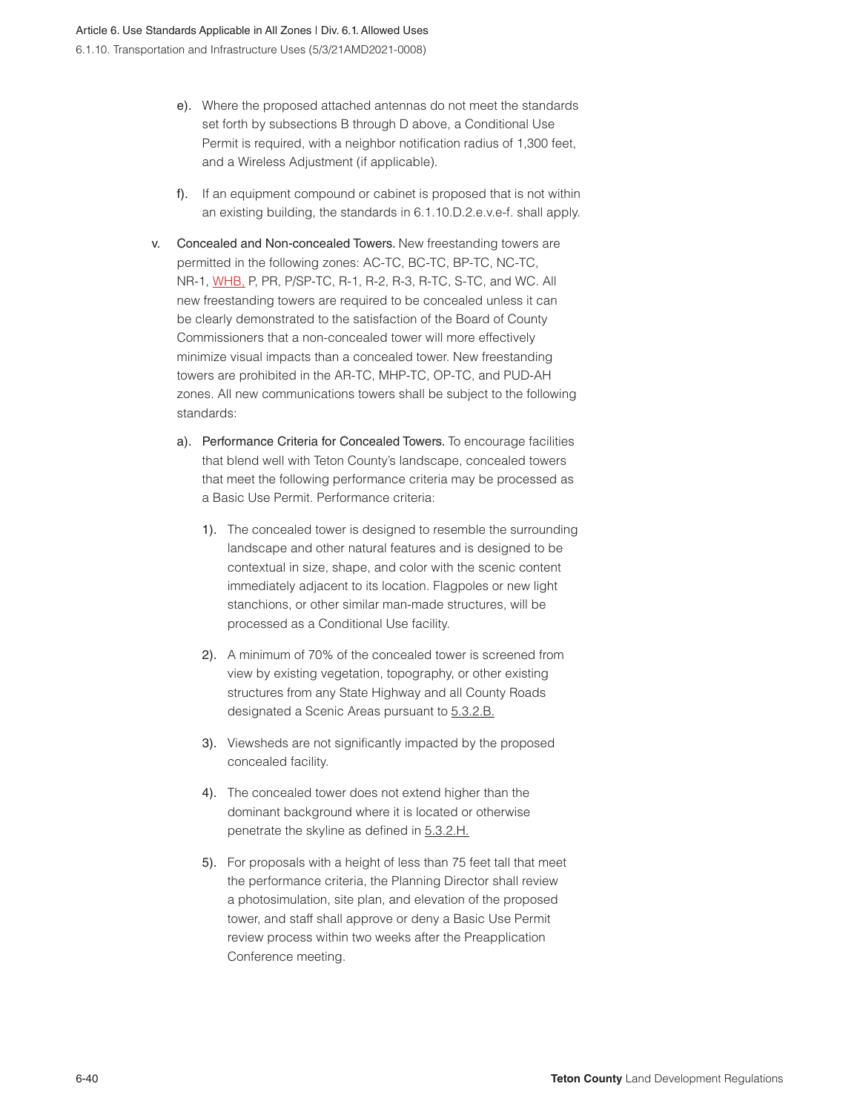- e). Where the proposed attached antennas do not meet the standards set forth by subsections B through D above, a Conditional Use Permit is required, with a neighbor notification radius of 1,300 feet, and a Wireless Adjustment (if applicable).
- f). If an equipment compound or cabinet is proposed that is not within an existing building, the standards in 6.1.10.D.2.e.v.e-f. shall apply.
- v. Concealed and Non-concealed Towers. New freestanding towers are permitted in the following zones: AC-TC, BC-TC, BP-TC, NC-TC, NR-1, WHB, P, PR, P/SP-TC, R-1, R-2, R-3, R-TC, S-TC, and WC. All new freestanding towers are required to be concealed unless it can be clearly demonstrated to the satisfaction of the Board of County Commissioners that a non-concealed tower will more effectively minimize visual impacts than a concealed tower. New freestanding towers are prohibited in the AR-TC, MHP-TC, OP-TC, and PUD-AH zones. All new communications towers shall be subject to the following standards:
	- a). Performance Criteria for Concealed Towers. To encourage facilities that blend well with Teton County's landscape, concealed towers that meet the following performance criteria may be processed as a Basic Use Permit. Performance criteria:
		- 1). The concealed tower is designed to resemble the surrounding landscape and other natural features and is designed to be contextual in size, shape, and color with the scenic content immediately adjacent to its location. Flagpoles or new light stanchions, or other similar man-made structures, will be processed as a Conditional Use facility.
		- 2). A minimum of 70% of the concealed tower is screened from view by existing vegetation, topography, or other existing structures from any State Highway and all County Roads designated a Scenic Areas pursuant to 5.3.2.B.
		- 3). Viewsheds are not significantly impacted by the proposed concealed facility.
		- 4). The concealed tower does not extend higher than the dominant background where it is located or otherwise penetrate the skyline as defined in 5.3.2.H.
		- 5). For proposals with a height of less than 75 feet tall that meet the performance criteria, the Planning Director shall review a photosimulation, site plan, and elevation of the proposed tower, and staff shall approve or deny a Basic Use Permit review process within two weeks after the Preapplication Conference meeting.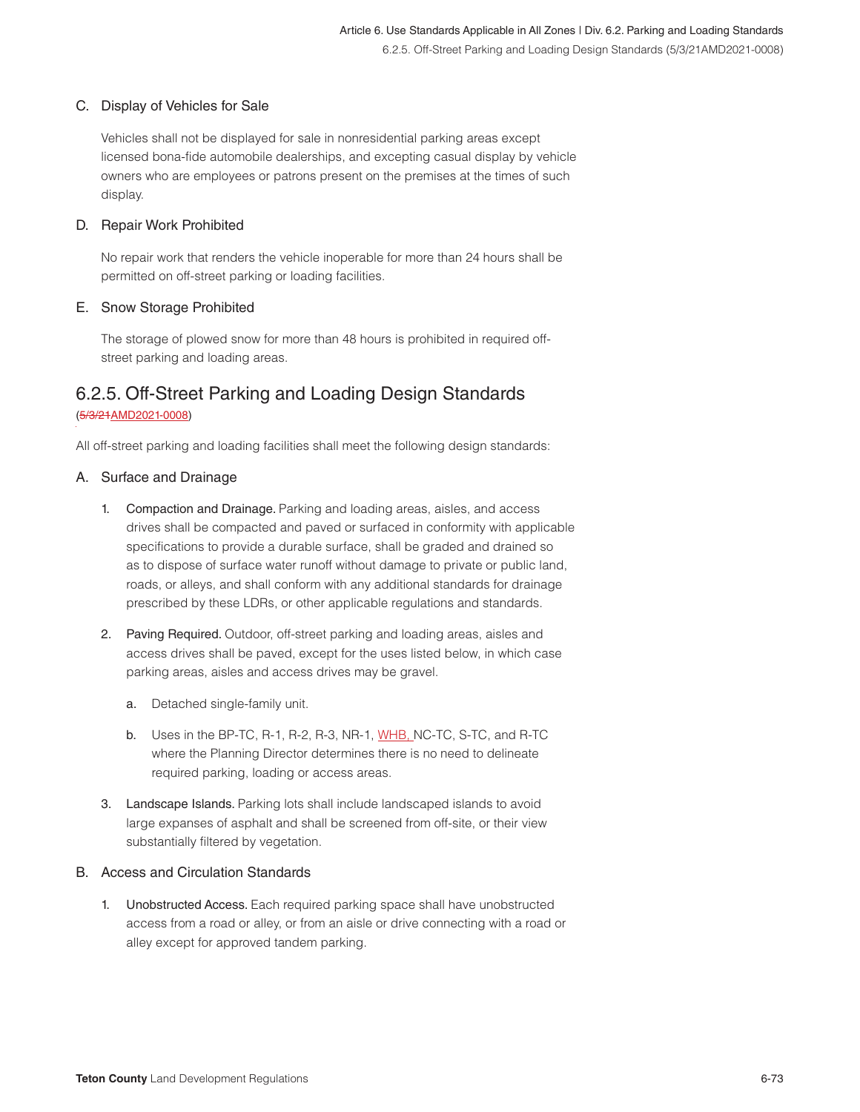#### C. Display of Vehicles for Sale

Vehicles shall not be displayed for sale in nonresidential parking areas except licensed bona-fide automobile dealerships, and excepting casual display by vehicle owners who are employees or patrons present on the premises at the times of such display.

#### D. Repair Work Prohibited

No repair work that renders the vehicle inoperable for more than 24 hours shall be permitted on off-street parking or loading facilities.

#### E. Snow Storage Prohibited

The storage of plowed snow for more than 48 hours is prohibited in required offstreet parking and loading areas.

## 6.2.5. Off-Street Parking and Loading Design Standards

#### (5/3/21AMD2021-0008)

All off-street parking and loading facilities shall meet the following design standards:

#### A. Surface and Drainage

- 1. Compaction and Drainage. Parking and loading areas, aisles, and access drives shall be compacted and paved or surfaced in conformity with applicable specifications to provide a durable surface, shall be graded and drained so as to dispose of surface water runoff without damage to private or public land, roads, or alleys, and shall conform with any additional standards for drainage prescribed by these LDRs, or other applicable regulations and standards.
- 2. Paving Required. Outdoor, off-street parking and loading areas, aisles and access drives shall be paved, except for the uses listed below, in which case parking areas, aisles and access drives may be gravel.
	- a. Detached single-family unit.
	- b. Uses in the BP-TC, R-1, R-2, R-3, NR-1, WHB, NC-TC, S-TC, and R-TC where the Planning Director determines there is no need to delineate required parking, loading or access areas.
- 3. Landscape Islands. Parking lots shall include landscaped islands to avoid large expanses of asphalt and shall be screened from off-site, or their view substantially filtered by vegetation.

#### B. Access and Circulation Standards

1. Unobstructed Access. Each required parking space shall have unobstructed access from a road or alley, or from an aisle or drive connecting with a road or alley except for approved tandem parking.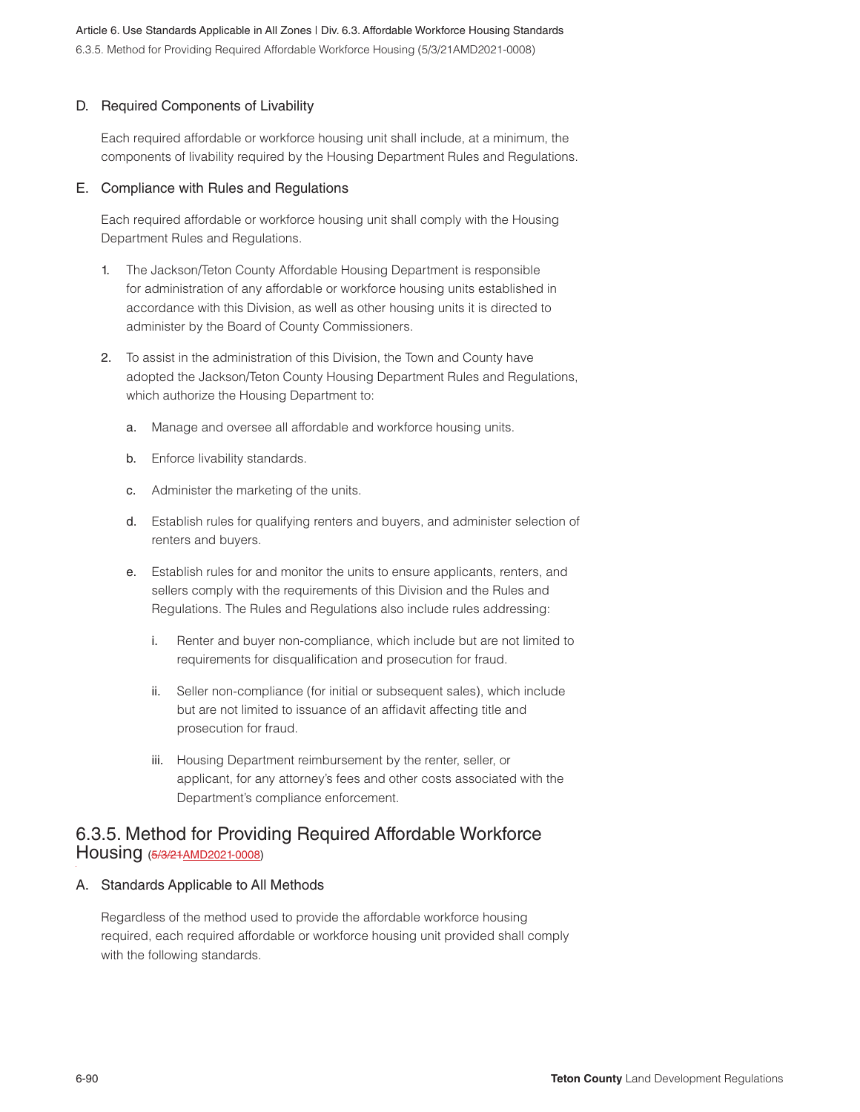#### D. Required Components of Livability

Each required affordable or workforce housing unit shall include, at a minimum, the components of livability required by the Housing Department Rules and Regulations.

#### E. Compliance with Rules and Regulations

Each required affordable or workforce housing unit shall comply with the Housing Department Rules and Regulations.

- The Jackson/Teton County Affordable Housing Department is responsible for administration of any affordable or workforce housing units established in accordance with this Division, as well as other housing units it is directed to administer by the Board of County Commissioners.
- 2. To assist in the administration of this Division, the Town and County have adopted the Jackson/Teton County Housing Department Rules and Regulations, which authorize the Housing Department to:
	- a. Manage and oversee all affordable and workforce housing units.
	- b. Enforce livability standards.
	- c. Administer the marketing of the units.
	- d. Establish rules for qualifying renters and buyers, and administer selection of renters and buyers.
	- e. Establish rules for and monitor the units to ensure applicants, renters, and sellers comply with the requirements of this Division and the Rules and Regulations. The Rules and Regulations also include rules addressing:
		- i. Renter and buyer non-compliance, which include but are not limited to requirements for disqualification and prosecution for fraud.
		- ii. Seller non-compliance (for initial or subsequent sales), which include but are not limited to issuance of an affidavit affecting title and prosecution for fraud.
		- iii. Housing Department reimbursement by the renter, seller, or applicant, for any attorney's fees and other costs associated with the Department's compliance enforcement.

## 6.3.5. Method for Providing Required Affordable Workforce Housing (5/3/21<u>AMD2021-0008</u>)

#### A. Standards Applicable to All Methods

Regardless of the method used to provide the affordable workforce housing required, each required affordable or workforce housing unit provided shall comply with the following standards.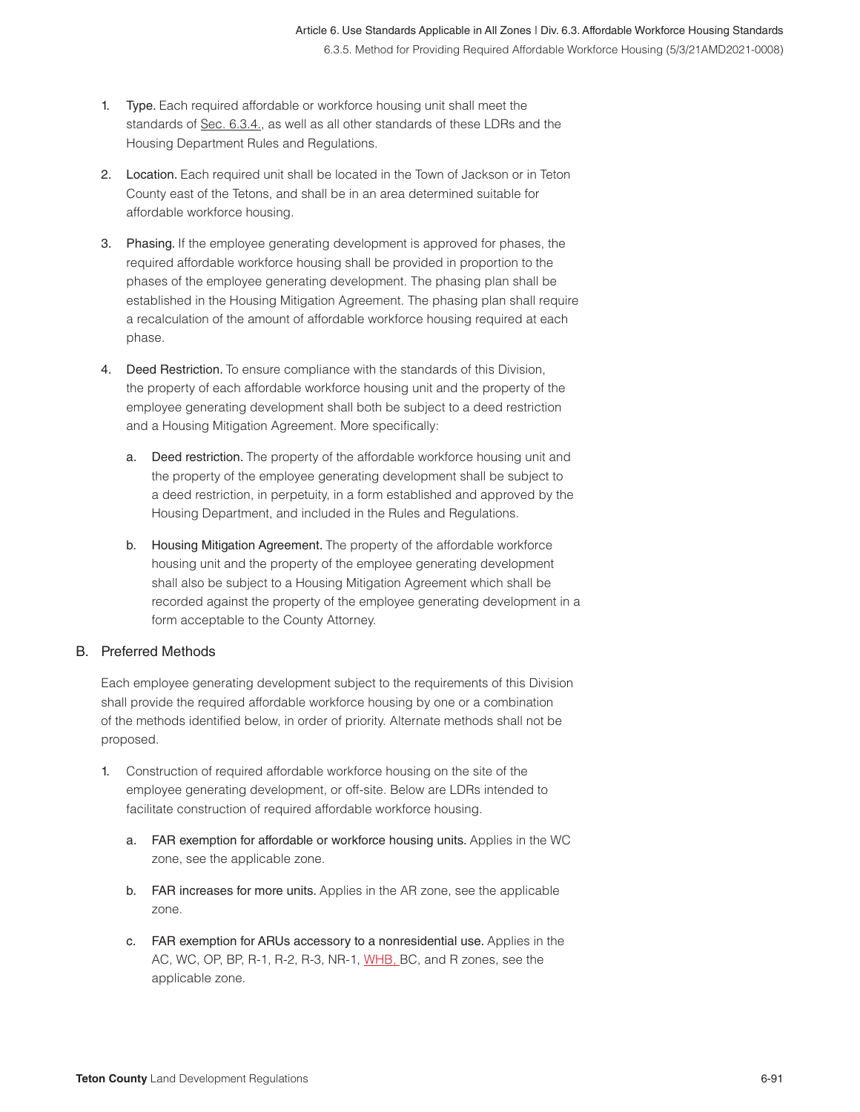- 1. Type. Each required affordable or workforce housing unit shall meet the standards of Sec. 6.3.4., as well as all other standards of these LDRs and the Housing Department Rules and Regulations.
- 2. Location. Each required unit shall be located in the Town of Jackson or in Teton County east of the Tetons, and shall be in an area determined suitable for affordable workforce housing.
- 3. Phasing. If the employee generating development is approved for phases, the required affordable workforce housing shall be provided in proportion to the phases of the employee generating development. The phasing plan shall be established in the Housing Mitigation Agreement. The phasing plan shall require a recalculation of the amount of affordable workforce housing required at each phase.
- 4. Deed Restriction. To ensure compliance with the standards of this Division, the property of each affordable workforce housing unit and the property of the employee generating development shall both be subject to a deed restriction and a Housing Mitigation Agreement. More specifically:
	- a. Deed restriction. The property of the affordable workforce housing unit and the property of the employee generating development shall be subject to a deed restriction, in perpetuity, in a form established and approved by the Housing Department, and included in the Rules and Regulations.
	- b. Housing Mitigation Agreement. The property of the affordable workforce housing unit and the property of the employee generating development shall also be subject to a Housing Mitigation Agreement which shall be recorded against the property of the employee generating development in a form acceptable to the County Attorney.

#### B. Preferred Methods

Each employee generating development subject to the requirements of this Division shall provide the required affordable workforce housing by one or a combination of the methods identified below, in order of priority. Alternate methods shall not be proposed.

- 1. Construction of required affordable workforce housing on the site of the employee generating development, or off-site. Below are LDRs intended to facilitate construction of required affordable workforce housing.
	- a. FAR exemption for affordable or workforce housing units. Applies in the WC zone, see the applicable zone.
	- b. FAR increases for more units. Applies in the AR zone, see the applicable zone.
	- c. FAR exemption for ARUs accessory to a nonresidential use. Applies in the AC, WC, OP, BP, R-1, R-2, R-3, NR-1, WHB, BC, and R zones, see the applicable zone.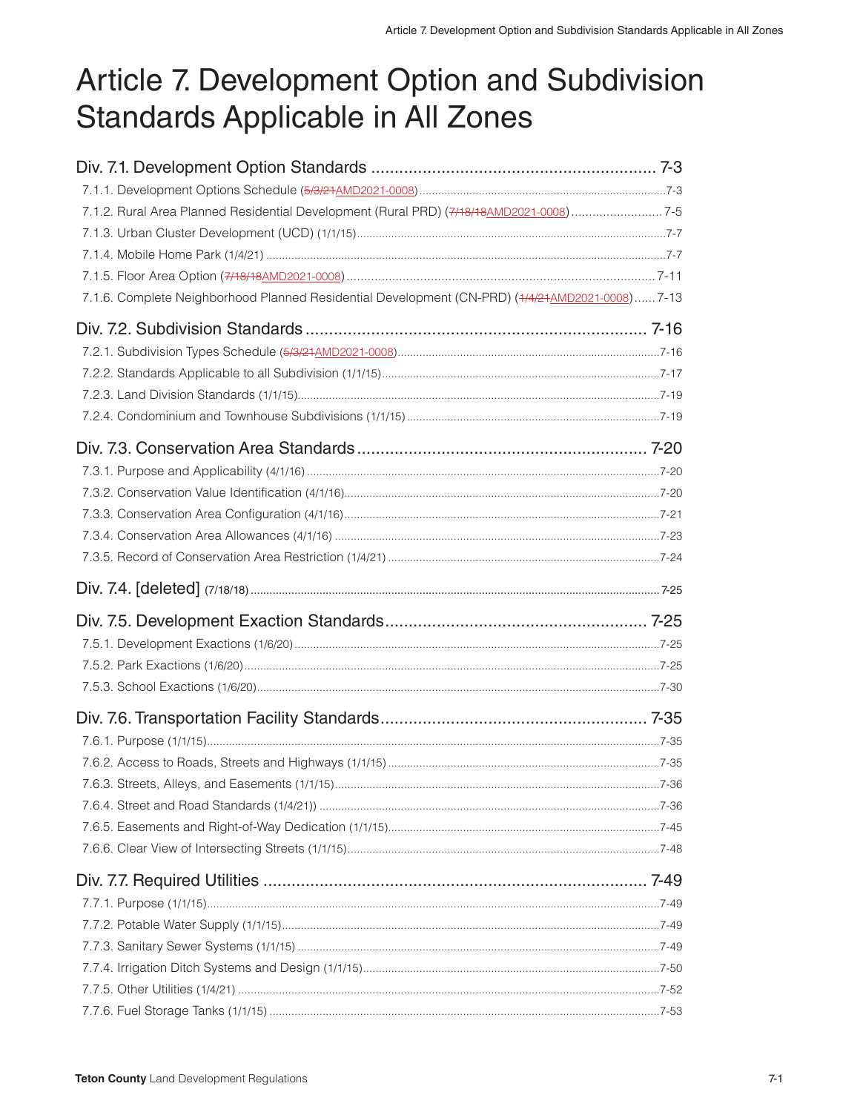# Article 7. Development Option and Subdivision **Standards Applicable in All Zones**

| 7.1.2. Rural Area Planned Residential Development (Rural PRD) (7/18/18 AMD 2021-0008)7-5        |  |
|-------------------------------------------------------------------------------------------------|--|
|                                                                                                 |  |
|                                                                                                 |  |
|                                                                                                 |  |
| 7.1.6. Complete Neighborhood Planned Residential Development (CN-PRD) (+/4/21AMD2021-0008) 7-13 |  |
|                                                                                                 |  |
|                                                                                                 |  |
|                                                                                                 |  |
|                                                                                                 |  |
|                                                                                                 |  |
|                                                                                                 |  |
|                                                                                                 |  |
|                                                                                                 |  |
|                                                                                                 |  |
|                                                                                                 |  |
|                                                                                                 |  |
|                                                                                                 |  |
|                                                                                                 |  |
|                                                                                                 |  |
|                                                                                                 |  |
|                                                                                                 |  |
|                                                                                                 |  |
|                                                                                                 |  |
|                                                                                                 |  |
|                                                                                                 |  |
|                                                                                                 |  |
|                                                                                                 |  |
|                                                                                                 |  |
|                                                                                                 |  |
|                                                                                                 |  |
|                                                                                                 |  |
|                                                                                                 |  |
|                                                                                                 |  |
|                                                                                                 |  |
|                                                                                                 |  |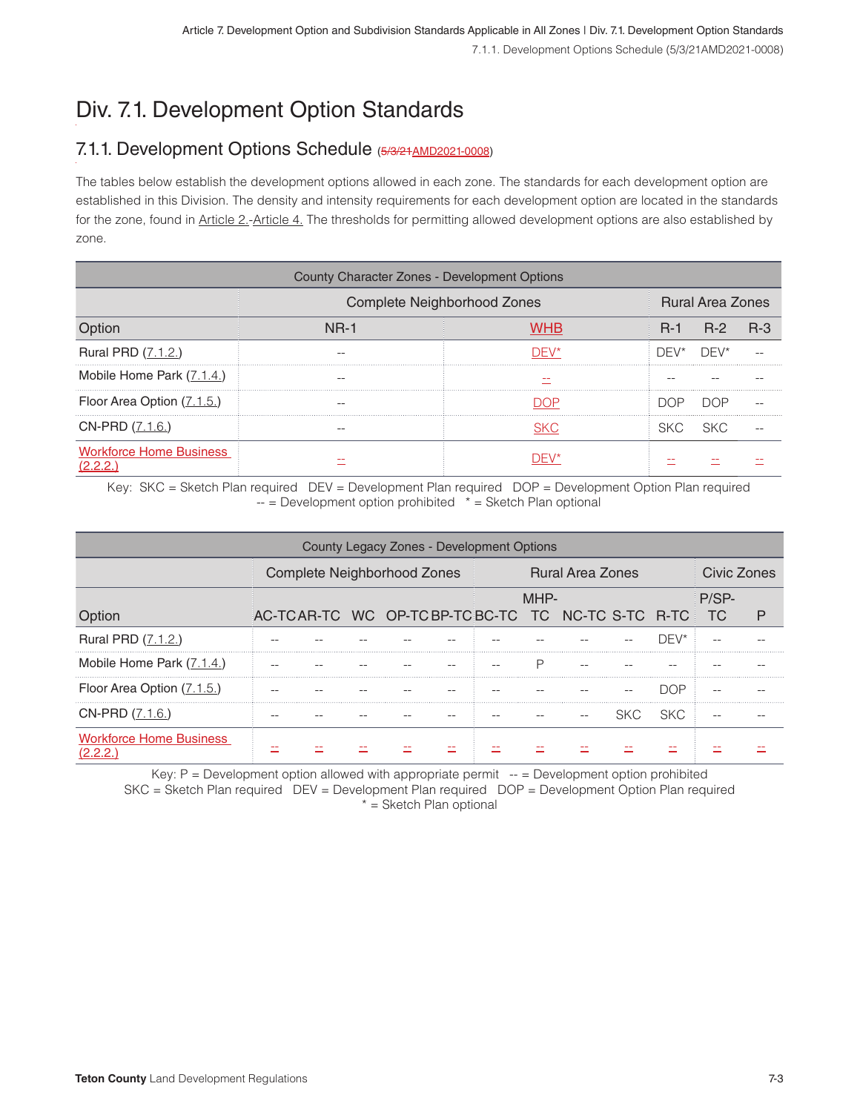# Div. 7.1. Development Option Standards

## 7.1.1. Development Options Schedule (5/3/21AMD2021-0008)

The tables below establish the development options allowed in each zone. The standards for each development option are established in this Division. The density and intensity requirements for each development option are located in the standards for the zone, found in Article 2.-Article 4. The thresholds for permitting allowed development options are also established by zone.

| County Character Zones - Development Options |                                    |                         |       |       |            |  |  |  |  |  |  |
|----------------------------------------------|------------------------------------|-------------------------|-------|-------|------------|--|--|--|--|--|--|
|                                              | <b>Complete Neighborhood Zones</b> | <b>Rural Area Zones</b> |       |       |            |  |  |  |  |  |  |
|                                              | <b>NR-1</b>                        |                         | $R-1$ | $R-2$ | <b>B-3</b> |  |  |  |  |  |  |
| Rural PRD (7.1.2.)                           |                                    |                         | DEV*  | DEV*  |            |  |  |  |  |  |  |
| Mobile Home Park (7.1.4.)                    |                                    |                         |       |       |            |  |  |  |  |  |  |
| Floor Area Option (7.1.5.)                   |                                    |                         |       |       |            |  |  |  |  |  |  |
| CN-PRD (7.1.6.)                              |                                    |                         | SKC.  |       |            |  |  |  |  |  |  |
| <b>Workforce Home Business</b>               |                                    |                         |       |       |            |  |  |  |  |  |  |

Key: SKC = Sketch Plan required DEV = Development Plan required DOP = Development Option Plan required  $-$  = Development option prohibited  $*$  = Sketch Plan optional

| County Legacy Zones - Development Options |  |                             |  |                         |             |  |      |                                                  |      |            |     |  |
|-------------------------------------------|--|-----------------------------|--|-------------------------|-------------|--|------|--------------------------------------------------|------|------------|-----|--|
|                                           |  | Complete Neighborhood Zones |  | <b>Rural Area Zones</b> | Civic Zones |  |      |                                                  |      |            |     |  |
|                                           |  |                             |  |                         |             |  | MHP- | $P/SP-$                                          |      |            |     |  |
| <b>Option</b>                             |  |                             |  |                         |             |  |      | AC-TCAR-TC WC OP-TCBP-TCBC-TC TC NC-TC S-TC R-TC |      |            | TC. |  |
| Rural PRD (7.1.2.)                        |  |                             |  |                         |             |  |      |                                                  |      | 7F\/*      |     |  |
| Mobile Home Park (7.1.4.)                 |  |                             |  |                         |             |  |      |                                                  |      |            |     |  |
| Floor Area Option (7.1.5.)                |  |                             |  |                         |             |  |      |                                                  |      | חר         |     |  |
| CN-PRD (7.1.6.)                           |  |                             |  |                         |             |  |      |                                                  | SKC. | <b>SKC</b> |     |  |
| <b>Workforce Home Business</b>            |  |                             |  |                         |             |  |      |                                                  |      |            |     |  |

Key:  $P =$  Development option allowed with appropriate permit  $-$  = Development option prohibited SKC = Sketch Plan required DEV = Development Plan required DOP = Development Option Plan required \* = Sketch Plan optional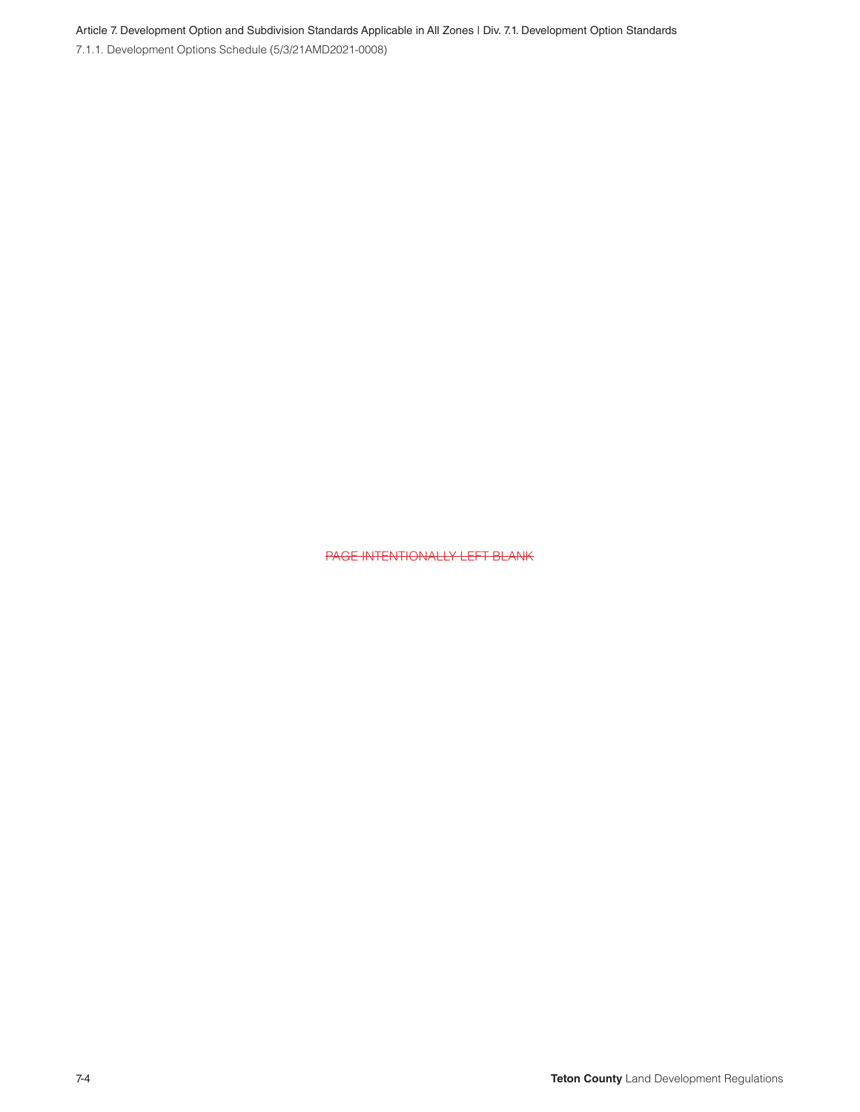Article 7. Development Option and Subdivision Standards Applicable in All Zones | Div. 7.1. Development Option Standards

7.1.1. Development Options Schedule (5/3/21AMD2021-0008)

PAGE INTENTIONALLY LEFT BLANK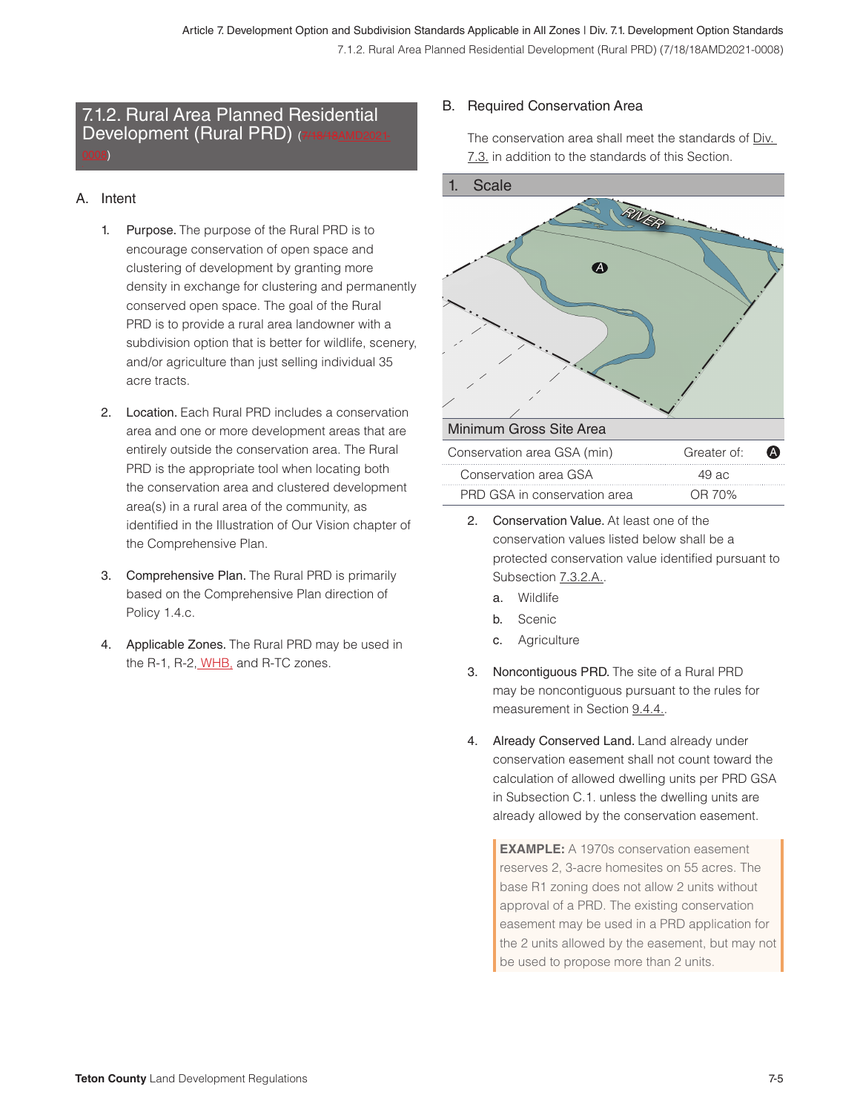## 7.1.2. Rural Area Planned Residential Development (Rural PRD) (7/18/18AMD2021-0008)

#### A. Intent

- 1. Purpose. The purpose of the Rural PRD is to encourage conservation of open space and clustering of development by granting more density in exchange for clustering and permanently conserved open space. The goal of the Rural PRD is to provide a rural area landowner with a subdivision option that is better for wildlife, scenery, and/or agriculture than just selling individual 35 acre tracts.
- 2. Location. Each Rural PRD includes a conservation area and one or more development areas that are entirely outside the conservation area. The Rural PRD is the appropriate tool when locating both the conservation area and clustered development area(s) in a rural area of the community, as identified in the Illustration of Our Vision chapter of the Comprehensive Plan.
- 3. Comprehensive Plan. The Rural PRD is primarily based on the Comprehensive Plan direction of Policy 1.4.c.
- 4. Applicable Zones. The Rural PRD may be used in the R-1, R-2, WHB, and R-TC zones.

#### B. Required Conservation Area

The conservation area shall meet the standards of Div. 7.3. in addition to the standards of this Section.



- 2. Conservation Value. At least one of the conservation values listed below shall be a protected conservation value identified pursuant to Subsection **7.3.2.A.**.
	- a. Wildlife
	- b. Scenic
	- c. Agriculture
- 3. Noncontiguous PRD. The site of a Rural PRD may be noncontiguous pursuant to the rules for measurement in Section 9.4.4.
- 4. Already Conserved Land. Land already under conservation easement shall not count toward the calculation of allowed dwelling units per PRD GSA in Subsection C.1. unless the dwelling units are already allowed by the conservation easement.

**EXAMPLE:** A 1970s conservation easement reserves 2, 3-acre homesites on 55 acres. The base R1 zoning does not allow 2 units without approval of a PRD. The existing conservation easement may be used in a PRD application for the 2 units allowed by the easement, but may not be used to propose more than 2 units.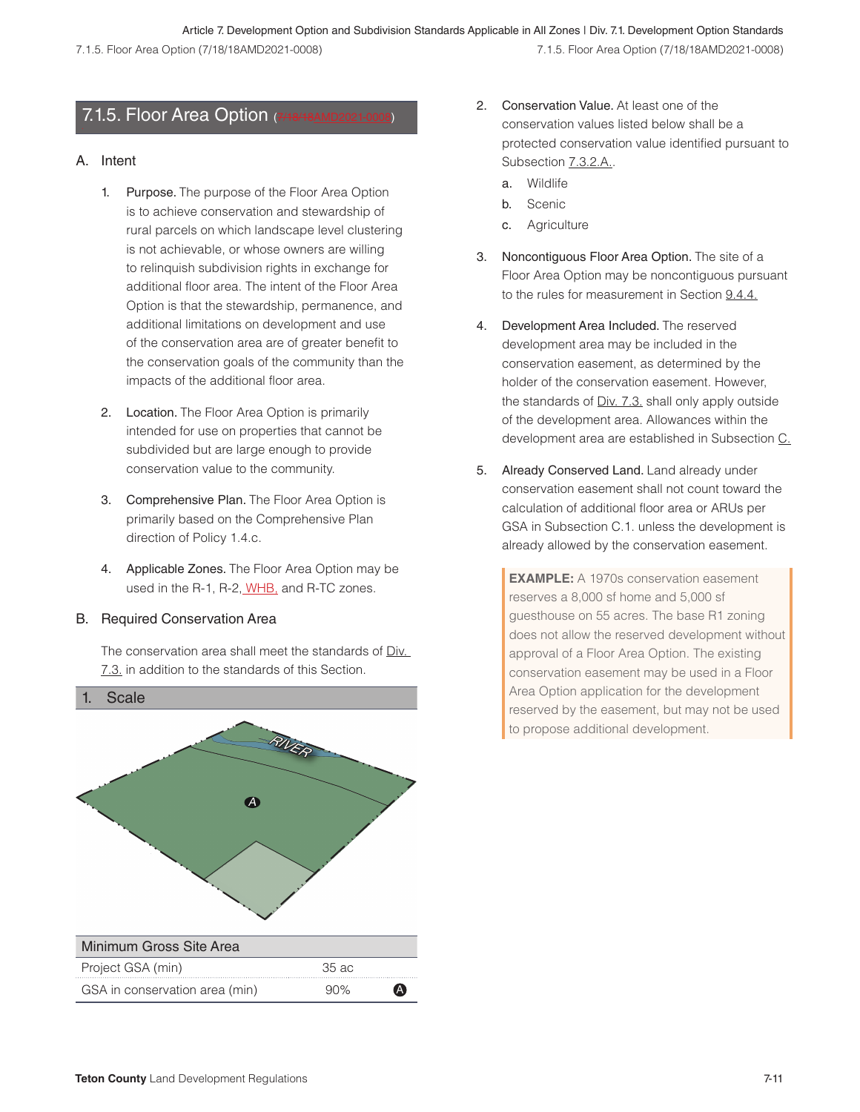## 7.1.5. Floor Area Option  $(7)$

#### A. Intent

- 1. Purpose. The purpose of the Floor Area Option is to achieve conservation and stewardship of rural parcels on which landscape level clustering is not achievable, or whose owners are willing to relinquish subdivision rights in exchange for additional floor area. The intent of the Floor Area Option is that the stewardship, permanence, and additional limitations on development and use of the conservation area are of greater benefit to the conservation goals of the community than the impacts of the additional floor area.
- 2. Location. The Floor Area Option is primarily intended for use on properties that cannot be subdivided but are large enough to provide conservation value to the community.
- 3. Comprehensive Plan. The Floor Area Option is primarily based on the Comprehensive Plan direction of Policy 1.4.c.
- 4. Applicable Zones. The Floor Area Option may be used in the R-1, R-2, WHB, and R-TC zones.

#### B. Required Conservation Area

The conservation area shall meet the standards of Div. 7.3. in addition to the standards of this Section.



- 2. Conservation Value. At least one of the conservation values listed below shall be a protected conservation value identified pursuant to Subsection **7.3.2.A.**.
	- a. Wildlife
	- b. Scenic
	- c. Agriculture
- 3. Noncontiguous Floor Area Option. The site of a Floor Area Option may be noncontiguous pursuant to the rules for measurement in Section 9.4.4.
- 4. Development Area Included. The reserved development area may be included in the conservation easement, as determined by the holder of the conservation easement. However, the standards of Div. 7.3. shall only apply outside of the development area. Allowances within the development area are established in Subsection C.
- 5. Already Conserved Land. Land already under conservation easement shall not count toward the calculation of additional floor area or ARUs per GSA in Subsection C.1. unless the development is already allowed by the conservation easement.

**EXAMPLE:** A 1970s conservation easement reserves a 8,000 sf home and 5,000 sf guesthouse on 55 acres. The base R1 zoning does not allow the reserved development without approval of a Floor Area Option. The existing conservation easement may be used in a Floor Area Option application for the development reserved by the easement, but may not be used to propose additional development.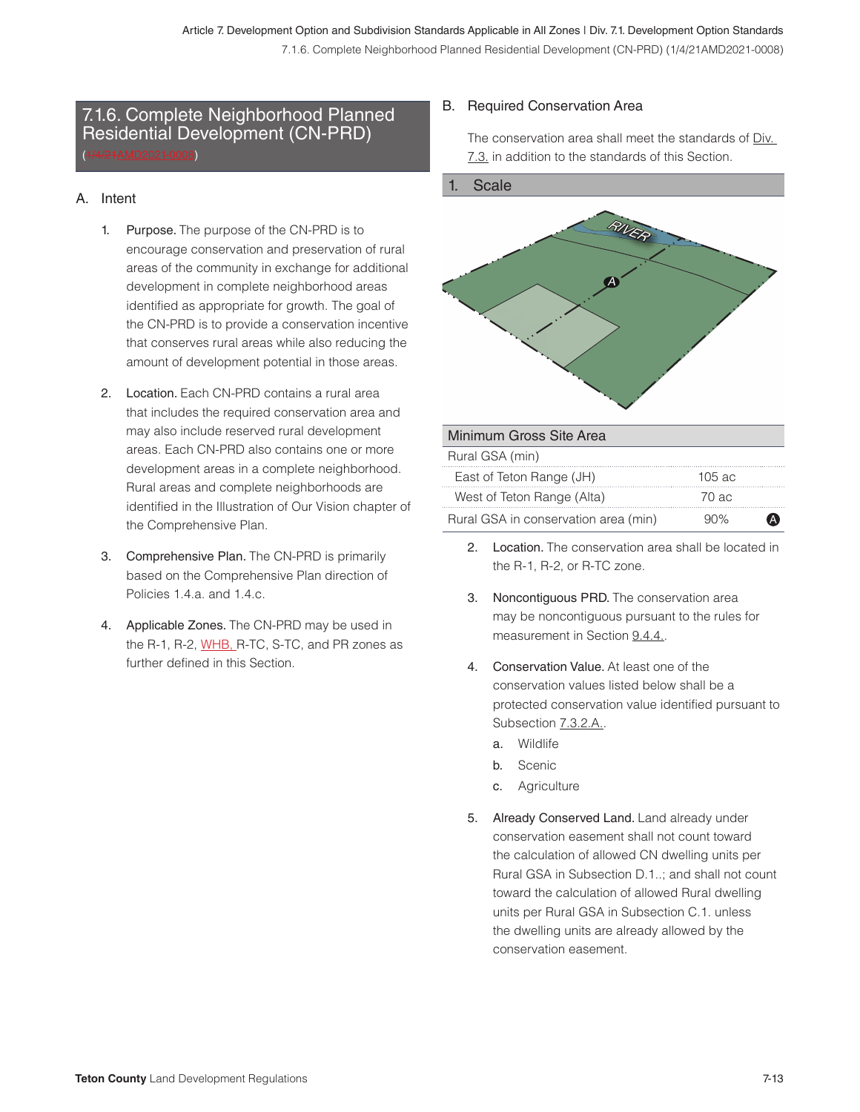### 7.1.6. Complete Neighborhood Planned Residential Development (CN-PRD) (1/4/21AMD2021-0008)

#### A. Intent

- 1. Purpose. The purpose of the CN-PRD is to encourage conservation and preservation of rural areas of the community in exchange for additional development in complete neighborhood areas identified as appropriate for growth. The goal of the CN-PRD is to provide a conservation incentive that conserves rural areas while also reducing the amount of development potential in those areas.
- 2. Location. Each CN-PRD contains a rural area that includes the required conservation area and may also include reserved rural development areas. Each CN-PRD also contains one or more development areas in a complete neighborhood. Rural areas and complete neighborhoods are identified in the Illustration of Our Vision chapter of the Comprehensive Plan.
- 3. Comprehensive Plan. The CN-PRD is primarily based on the Comprehensive Plan direction of Policies 1.4.a. and 1.4.c.
- 4. Applicable Zones. The CN-PRD may be used in the R-1, R-2, WHB, R-TC, S-TC, and PR zones as further defined in this Section.

#### B. Required Conservation Area

The conservation area shall meet the standards of Div. 7.3. in addition to the standards of this Section.



| Minimum Gross Site Area              |             |  |
|--------------------------------------|-------------|--|
| Rural GSA (min)                      |             |  |
| East of Teton Range (JH)             | $105$ ac.   |  |
| West of Teton Range (Alta)           | 70 ac.      |  |
| Rural GSA in conservation area (min) | $90\%$<br>A |  |

- 2. Location. The conservation area shall be located in the R-1, R-2, or R-TC zone.
- 3. Noncontiguous PRD. The conservation area may be noncontiguous pursuant to the rules for measurement in Section 9.4.4..
- 4. Conservation Value. At least one of the conservation values listed below shall be a protected conservation value identified pursuant to Subsection 7.3.2.A..
	- a. Wildlife
	- b. Scenic
	- c. Agriculture
- 5. Already Conserved Land. Land already under conservation easement shall not count toward the calculation of allowed CN dwelling units per Rural GSA in Subsection D.1..; and shall not count toward the calculation of allowed Rural dwelling units per Rural GSA in Subsection C.1. unless the dwelling units are already allowed by the conservation easement.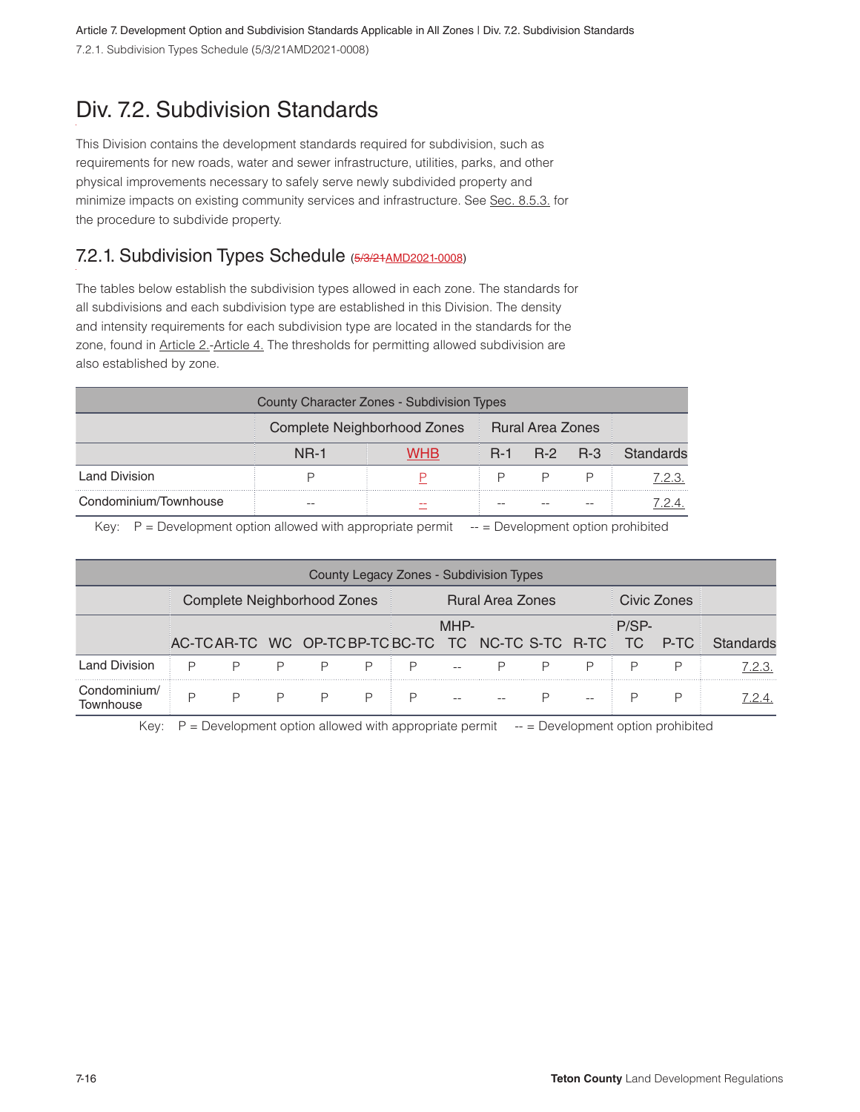Article 7. Development Option and Subdivision Standards Applicable in All Zones | Div. 7.2. Subdivision Standards 7.2.1. Subdivision Types Schedule (5/3/21AMD2021-0008)

## Div. 7.2. Subdivision Standards

This Division contains the development standards required for subdivision, such as requirements for new roads, water and sewer infrastructure, utilities, parks, and other physical improvements necessary to safely serve newly subdivided property and minimize impacts on existing community services and infrastructure. See Sec. 8.5.3. for the procedure to subdivide property.

## 7.2.1. Subdivision Types Schedule (5/3/21 AMD 2021-0008)

The tables below establish the subdivision types allowed in each zone. The standards for all subdivisions and each subdivision type are established in this Division. The density and intensity requirements for each subdivision type are located in the standards for the zone, found in Article 2.-Article 4. The thresholds for permitting allowed subdivision are also established by zone.

| County Character Zones - Subdivision Types |                                              |            |  |             |  |           |  |  |  |  |
|--------------------------------------------|----------------------------------------------|------------|--|-------------|--|-----------|--|--|--|--|
|                                            | Complete Neighborhood Zones Rural Area Zones |            |  |             |  |           |  |  |  |  |
|                                            | <b>NR-1</b>                                  | <b>WHB</b> |  | R-1 R-2 R-3 |  | Standards |  |  |  |  |
| <b>Land Division</b>                       |                                              |            |  |             |  | 7.2.3.    |  |  |  |  |
| Condominium/Townhouse                      |                                              |            |  |             |  |           |  |  |  |  |

Key:  $P =$  Development option allowed with appropriate permit  $-$  = Development option prohibited

| County Legacy Zones - Subdivision Types |                             |        |                |                |   |                         |      |                                                          |        |  |         |             |           |
|-----------------------------------------|-----------------------------|--------|----------------|----------------|---|-------------------------|------|----------------------------------------------------------|--------|--|---------|-------------|-----------|
|                                         | Complete Neighborhood Zones |        |                |                |   | <b>Rural Area Zones</b> |      |                                                          |        |  |         | Civic Zones |           |
|                                         |                             |        |                |                |   |                         | MHP- | AC-TCAR-TC WC OP-TCBP-TCBC-TC TC NC-TC S-TC R-TC TC P-TC |        |  | $P/SP-$ |             | Standards |
| <b>Land Division</b>                    | P                           | $\Box$ | $\Box$         | P              | P | $\vdash$ $\mathsf{P}$   |      |                                                          | $\Box$ |  |         |             | 7.2.3.    |
| Condominium/<br>Townhouse               |                             | P      | $\overline{P}$ | $\overline{P}$ | P |                         |      |                                                          |        |  |         |             | 7.2.4.    |

Key:  $P =$  Development option allowed with appropriate permit  $-$  = Development option prohibited